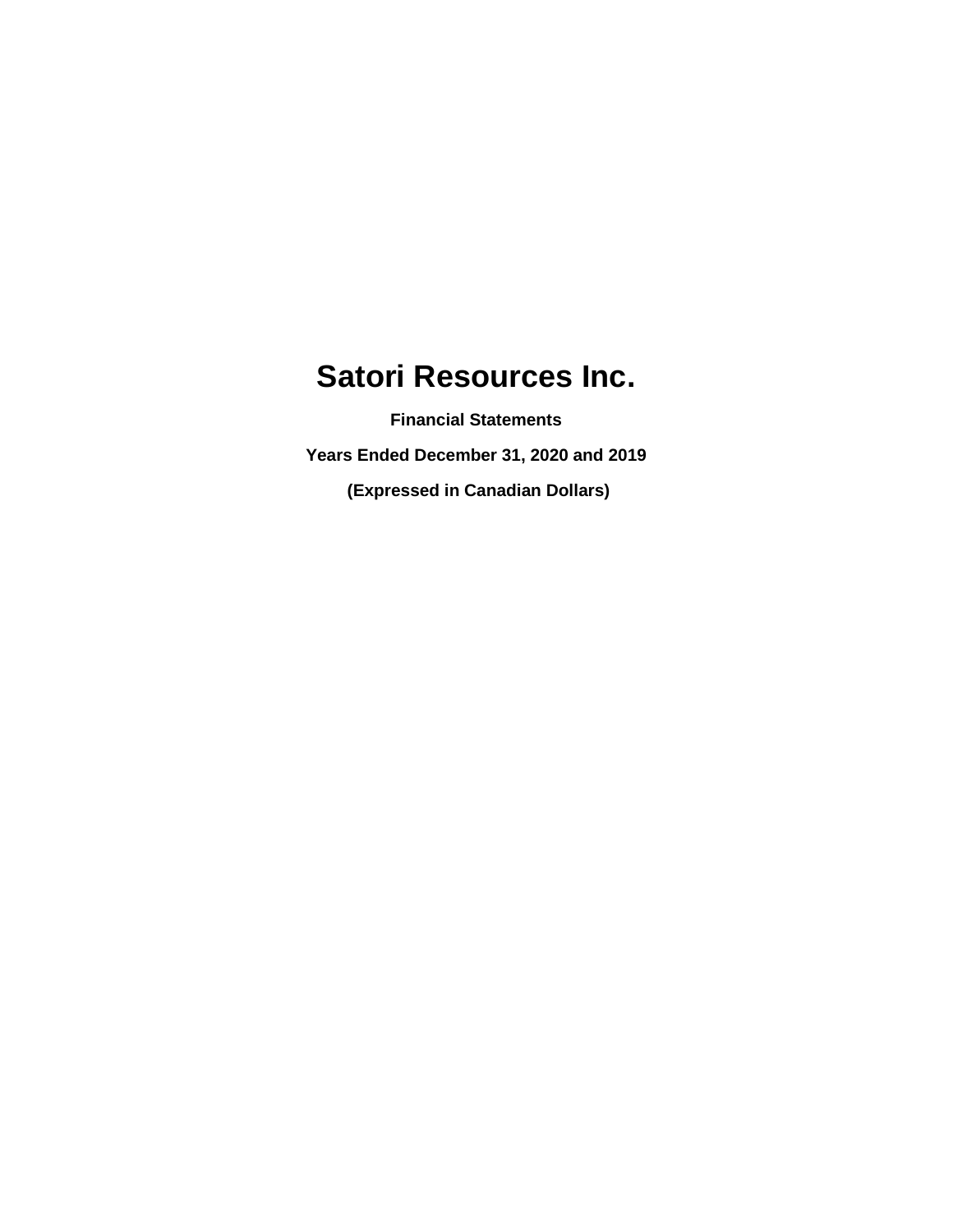**Financial Statements Years Ended December 31, 2020 and 2019** 

 **(Expressed in Canadian Dollars)**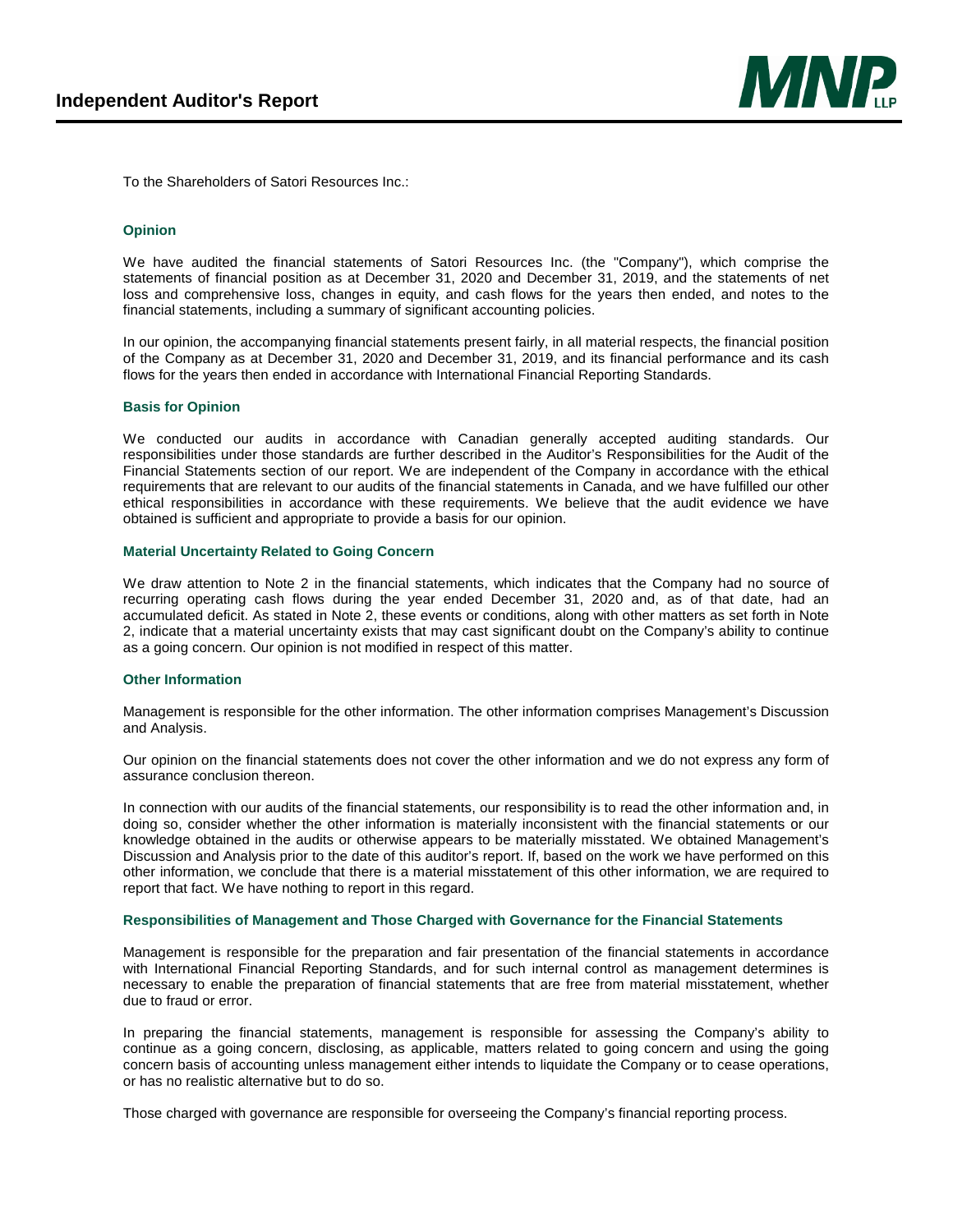

To the Shareholders of Satori Resources Inc.:

#### **Opinion**

We have audited the financial statements of Satori Resources Inc. (the "Company"), which comprise the statements of financial position as at December 31, 2020 and December 31, 2019, and the statements of net loss and comprehensive loss, changes in equity, and cash flows for the years then ended, and notes to the financial statements, including a summary of significant accounting policies.

In our opinion, the accompanying financial statements present fairly, in all material respects, the financial position of the Company as at December 31, 2020 and December 31, 2019, and its financial performance and its cash flows for the years then ended in accordance with International Financial Reporting Standards.

#### **Basis for Opinion**

We conducted our audits in accordance with Canadian generally accepted auditing standards. Our responsibilities under those standards are further described in the Auditor's Responsibilities for the Audit of the Financial Statements section of our report. We are independent of the Company in accordance with the ethical requirements that are relevant to our audits of the financial statements in Canada, and we have fulfilled our other ethical responsibilities in accordance with these requirements. We believe that the audit evidence we have obtained is sufficient and appropriate to provide a basis for our opinion.

#### **Material Uncertainty Related to Going Concern**

We draw attention to Note 2 in the financial statements, which indicates that the Company had no source of recurring operating cash flows during the year ended December 31, 2020 and, as of that date, had an accumulated deficit. As stated in Note 2, these events or conditions, along with other matters as set forth in Note 2, indicate that a material uncertainty exists that may cast significant doubt on the Company's ability to continue as a going concern. Our opinion is not modified in respect of this matter.

#### **Other Information**

Management is responsible for the other information. The other information comprises Management's Discussion and Analysis.

Our opinion on the financial statements does not cover the other information and we do not express any form of assurance conclusion thereon.

In connection with our audits of the financial statements, our responsibility is to read the other information and, in doing so, consider whether the other information is materially inconsistent with the financial statements or our knowledge obtained in the audits or otherwise appears to be materially misstated. We obtained Management's Discussion and Analysis prior to the date of this auditor's report. If, based on the work we have performed on this other information, we conclude that there is a material misstatement of this other information, we are required to report that fact. We have nothing to report in this regard.

#### **Responsibilities of Management and Those Charged with Governance for the Financial Statements**

Management is responsible for the preparation and fair presentation of the financial statements in accordance with International Financial Reporting Standards, and for such internal control as management determines is necessary to enable the preparation of financial statements that are free from material misstatement, whether due to fraud or error.

In preparing the financial statements, management is responsible for assessing the Company's ability to continue as a going concern, disclosing, as applicable, matters related to going concern and using the going concern basis of accounting unless management either intends to liquidate the Company or to cease operations, or has no realistic alternative but to do so.

Those charged with governance are responsible for overseeing the Company's financial reporting process.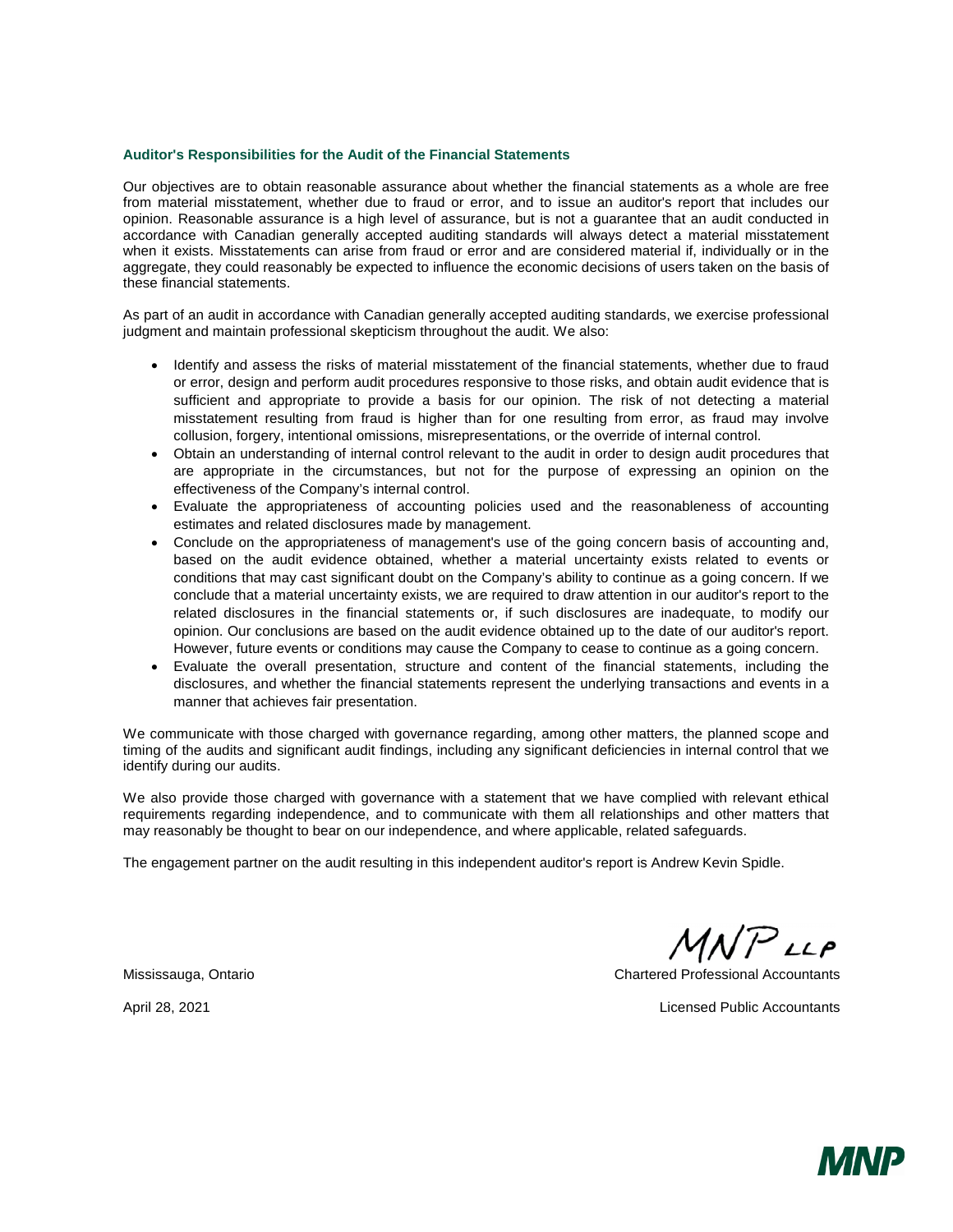#### **Auditor's Responsibilities for the Audit of the Financial Statements**

Our objectives are to obtain reasonable assurance about whether the financial statements as a whole are free from material misstatement, whether due to fraud or error, and to issue an auditor's report that includes our opinion. Reasonable assurance is a high level of assurance, but is not a guarantee that an audit conducted in accordance with Canadian generally accepted auditing standards will always detect a material misstatement when it exists. Misstatements can arise from fraud or error and are considered material if, individually or in the aggregate, they could reasonably be expected to influence the economic decisions of users taken on the basis of these financial statements.

As part of an audit in accordance with Canadian generally accepted auditing standards, we exercise professional judgment and maintain professional skepticism throughout the audit. We also:

- Identify and assess the risks of material misstatement of the financial statements, whether due to fraud or error, design and perform audit procedures responsive to those risks, and obtain audit evidence that is sufficient and appropriate to provide a basis for our opinion. The risk of not detecting a material misstatement resulting from fraud is higher than for one resulting from error, as fraud may involve collusion, forgery, intentional omissions, misrepresentations, or the override of internal control.
- Obtain an understanding of internal control relevant to the audit in order to design audit procedures that are appropriate in the circumstances, but not for the purpose of expressing an opinion on the effectiveness of the Company's internal control.
- Evaluate the appropriateness of accounting policies used and the reasonableness of accounting estimates and related disclosures made by management.
- Conclude on the appropriateness of management's use of the going concern basis of accounting and, based on the audit evidence obtained, whether a material uncertainty exists related to events or conditions that may cast significant doubt on the Company's ability to continue as a going concern. If we conclude that a material uncertainty exists, we are required to draw attention in our auditor's report to the related disclosures in the financial statements or, if such disclosures are inadequate, to modify our opinion. Our conclusions are based on the audit evidence obtained up to the date of our auditor's report. However, future events or conditions may cause the Company to cease to continue as a going concern.
- Evaluate the overall presentation, structure and content of the financial statements, including the disclosures, and whether the financial statements represent the underlying transactions and events in a manner that achieves fair presentation.

We communicate with those charged with governance regarding, among other matters, the planned scope and timing of the audits and significant audit findings, including any significant deficiencies in internal control that we identify during our audits.

We also provide those charged with governance with a statement that we have complied with relevant ethical requirements regarding independence, and to communicate with them all relationships and other matters that may reasonably be thought to bear on our independence, and where applicable, related safeguards.

The engagement partner on the audit resulting in this independent auditor's report is Andrew Kevin Spidle.

 $MNP$ LLP

Mississauga, Ontario Chartered Professional Accountants

April 28, 2021 Licensed Public Accountants

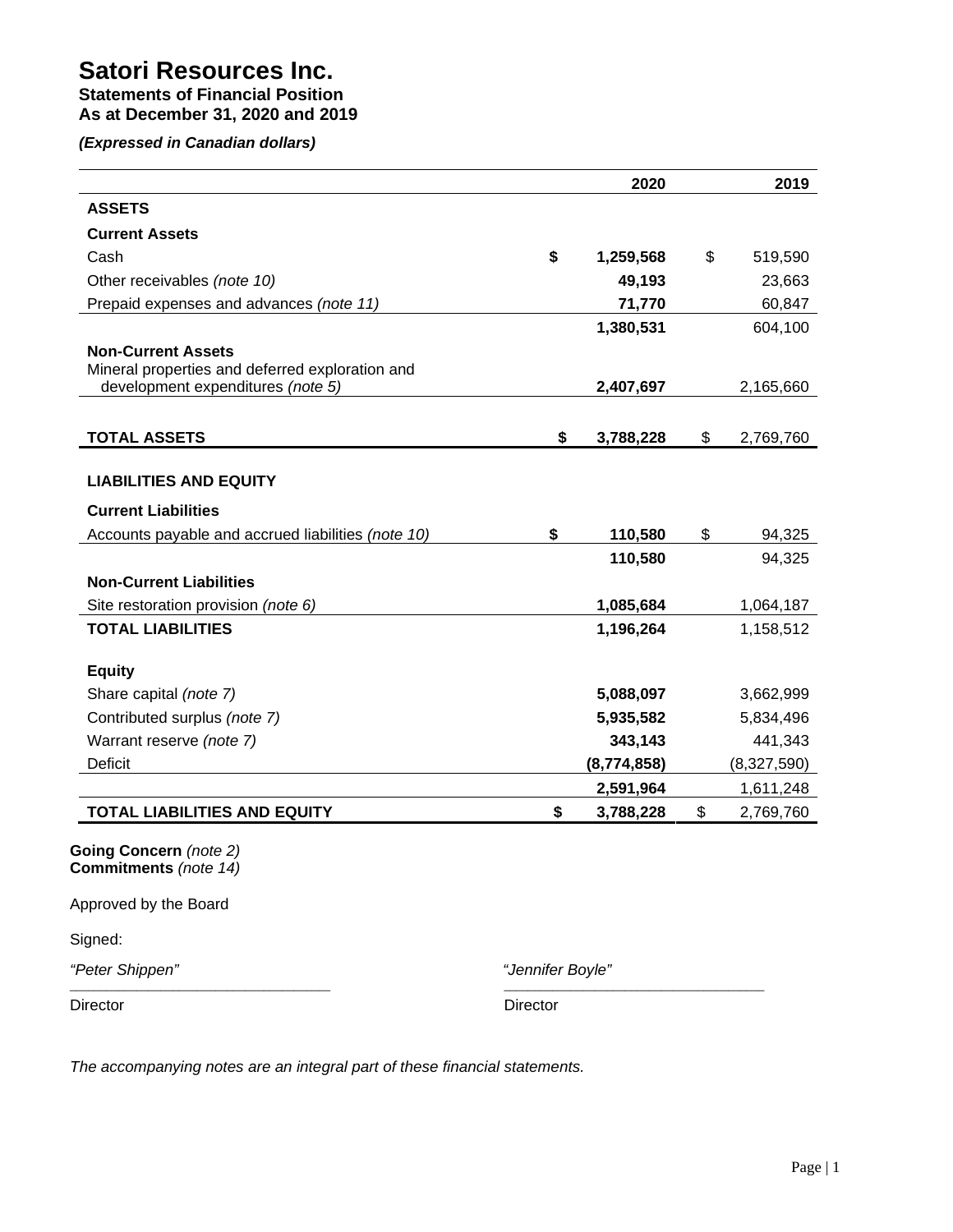**Statements of Financial Position As at December 31, 2020 and 2019** 

*(Expressed in Canadian dollars)* 

|                                                    | 2020            |               | 2019        |
|----------------------------------------------------|-----------------|---------------|-------------|
| <b>ASSETS</b>                                      |                 |               |             |
| <b>Current Assets</b>                              |                 |               |             |
| Cash                                               | \$<br>1,259,568 | \$            | 519,590     |
| Other receivables (note 10)                        | 49,193          |               | 23,663      |
| Prepaid expenses and advances (note 11)            | 71,770          |               | 60,847      |
|                                                    | 1,380,531       |               | 604,100     |
| <b>Non-Current Assets</b>                          |                 |               |             |
| Mineral properties and deferred exploration and    |                 |               |             |
| development expenditures (note 5)                  | 2,407,697       |               | 2,165,660   |
|                                                    |                 |               |             |
| <b>TOTAL ASSETS</b>                                | \$<br>3,788,228 | \$            | 2,769,760   |
| <b>LIABILITIES AND EQUITY</b>                      |                 |               |             |
| <b>Current Liabilities</b>                         |                 |               |             |
| Accounts payable and accrued liabilities (note 10) | \$<br>110,580   | \$            | 94,325      |
|                                                    | 110,580         |               | 94,325      |
| <b>Non-Current Liabilities</b>                     |                 |               |             |
| Site restoration provision (note 6)                | 1,085,684       |               | 1,064,187   |
| <b>TOTAL LIABILITIES</b>                           | 1,196,264       |               | 1,158,512   |
| <b>Equity</b>                                      |                 |               |             |
| Share capital (note 7)                             | 5,088,097       |               | 3,662,999   |
| Contributed surplus (note 7)                       | 5,935,582       |               | 5,834,496   |
| Warrant reserve (note 7)                           | 343,143         |               | 441,343     |
| <b>Deficit</b>                                     | (8,774,858)     |               | (8,327,590) |
|                                                    | 2,591,964       |               | 1,611,248   |
| <b>TOTAL LIABILITIES AND EQUITY</b>                | \$<br>3,788,228 | $\frac{1}{2}$ | 2,769,760   |
| Going Concern (note 2)<br>Commitments (note 14)    |                 |               |             |
|                                                    |                 |               |             |
| Approved by the Board                              |                 |               |             |
| Signed:                                            |                 |               |             |

*"Peter Shippen" "Jennifer Boyle"* 

Director Director

\_\_\_\_\_\_\_\_\_\_\_\_\_\_\_\_\_\_\_\_\_\_\_\_\_\_\_\_\_\_\_\_\_\_\_\_\_\_\_\_\_\_\_ \_\_\_\_\_\_\_\_\_\_\_\_\_\_\_\_\_\_\_\_\_\_\_\_\_\_\_\_\_\_\_\_\_\_\_\_\_\_\_\_\_\_\_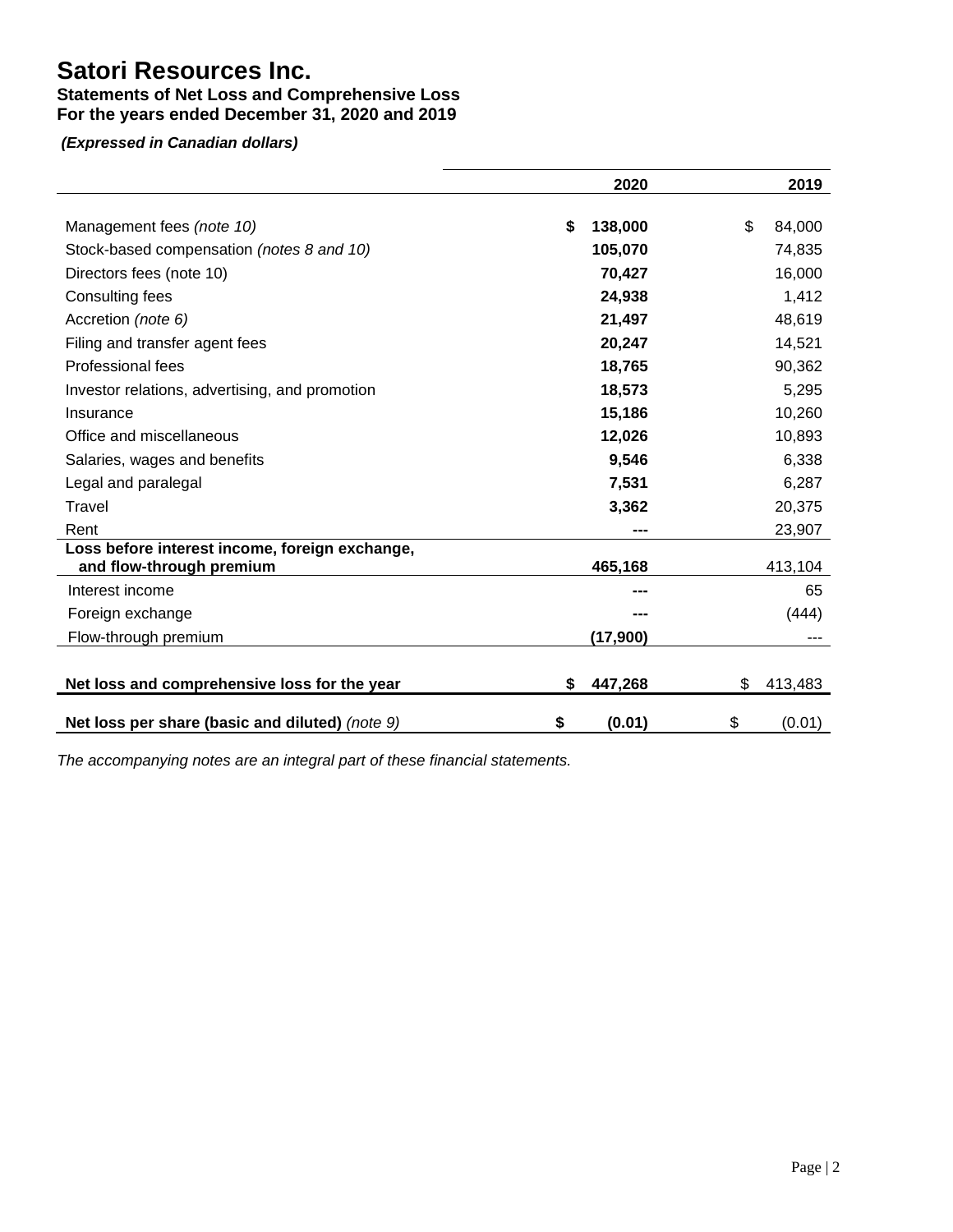## **Statements of Net Loss and Comprehensive Loss For the years ended December 31, 2020 and 2019**

 *(Expressed in Canadian dollars)* 

|                                                 | 2020          | 2019          |
|-------------------------------------------------|---------------|---------------|
|                                                 |               |               |
| Management fees (note 10)                       | \$<br>138,000 | \$<br>84,000  |
| Stock-based compensation (notes 8 and 10)       | 105,070       | 74,835        |
| Directors fees (note 10)                        | 70,427        | 16,000        |
| Consulting fees                                 | 24,938        | 1,412         |
| Accretion (note 6)                              | 21,497        | 48,619        |
| Filing and transfer agent fees                  | 20,247        | 14,521        |
| Professional fees                               | 18,765        | 90,362        |
| Investor relations, advertising, and promotion  | 18,573        | 5,295         |
| Insurance                                       | 15,186        | 10,260        |
| Office and miscellaneous                        | 12,026        | 10,893        |
| Salaries, wages and benefits                    | 9,546         | 6,338         |
| Legal and paralegal                             | 7,531         | 6,287         |
| Travel                                          | 3,362         | 20,375        |
| Rent                                            | ---           | 23,907        |
| Loss before interest income, foreign exchange,  |               |               |
| and flow-through premium                        | 465,168       | 413,104       |
| Interest income                                 | ---           | 65            |
| Foreign exchange                                |               | (444)         |
| Flow-through premium                            | (17,900)      |               |
|                                                 |               |               |
| Net loss and comprehensive loss for the year    | \$<br>447,268 | \$<br>413,483 |
| Net loss per share (basic and diluted) (note 9) | \$<br>(0.01)  | \$<br>(0.01)  |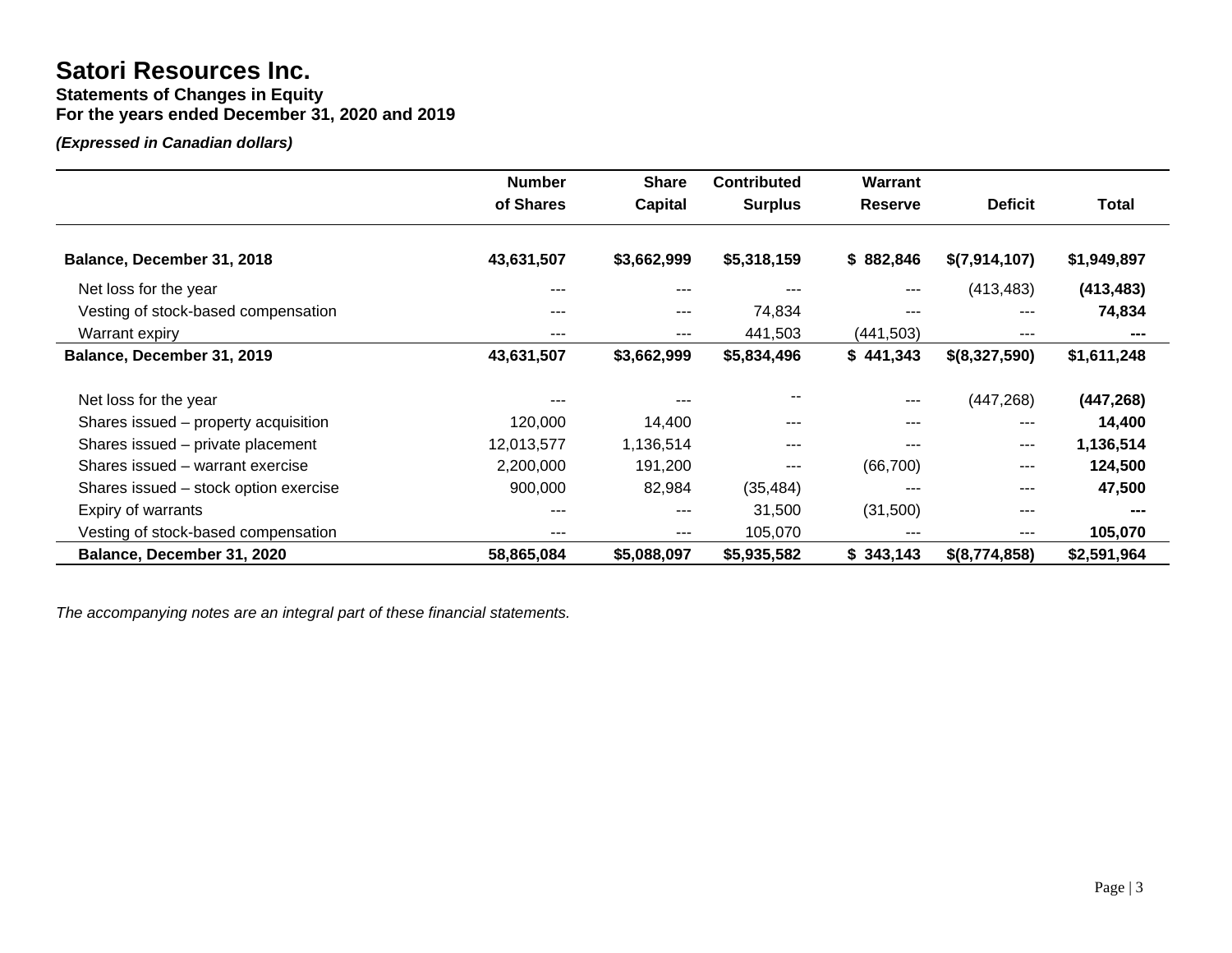**Statements of Changes in Equity** 

**For the years ended December 31, 2020 and 2019** 

*(Expressed in Canadian dollars)* 

|                                       | <b>Number</b> | <b>Share</b>      | <b>Contributed</b> | <b>Warrant</b> |                |             |
|---------------------------------------|---------------|-------------------|--------------------|----------------|----------------|-------------|
|                                       | of Shares     | Capital           | <b>Surplus</b>     | <b>Reserve</b> | <b>Deficit</b> | Total       |
| Balance, December 31, 2018            | 43,631,507    | \$3,662,999       | \$5,318,159        | \$882,846      | \$(7,914,107)  | \$1,949,897 |
|                                       |               |                   |                    |                |                |             |
| Net loss for the year                 | ---           | ---               | ---                | $---$          | (413, 483)     | (413, 483)  |
| Vesting of stock-based compensation   | ---           | $--$              | 74,834             | ---            | ---            | 74,834      |
| Warrant expiry                        | ---           | ---               | 441,503            | (441,503)      | ---            | ---         |
| Balance, December 31, 2019            | 43,631,507    | \$3,662,999       | \$5,834,496        | \$441,343      | \$(8,327,590)  | \$1,611,248 |
| Net loss for the year                 |               | ---               |                    | ---            | (447, 268)     | (447, 268)  |
| Shares issued – property acquisition  | 120,000       | 14,400            | ---                | ---            | ---            | 14,400      |
| Shares issued - private placement     | 12,013,577    | 1,136,514         | ---                |                | ---            | 1,136,514   |
| Shares issued - warrant exercise      | 2,200,000     | 191,200           | ---                | (66, 700)      | ---            | 124,500     |
| Shares issued - stock option exercise | 900,000       | 82,984            | (35, 484)          | $---$          | ---            | 47,500      |
| Expiry of warrants                    | ---           | $\qquad \qquad -$ | 31,500             | (31,500)       | $---$          | ---         |
| Vesting of stock-based compensation   | ---           | ---               | 105,070            | ---            | ---            | 105,070     |
| Balance, December 31, 2020            | 58,865,084    | \$5,088,097       | \$5,935,582        | \$343,143      | \$(8,774,858)  | \$2,591,964 |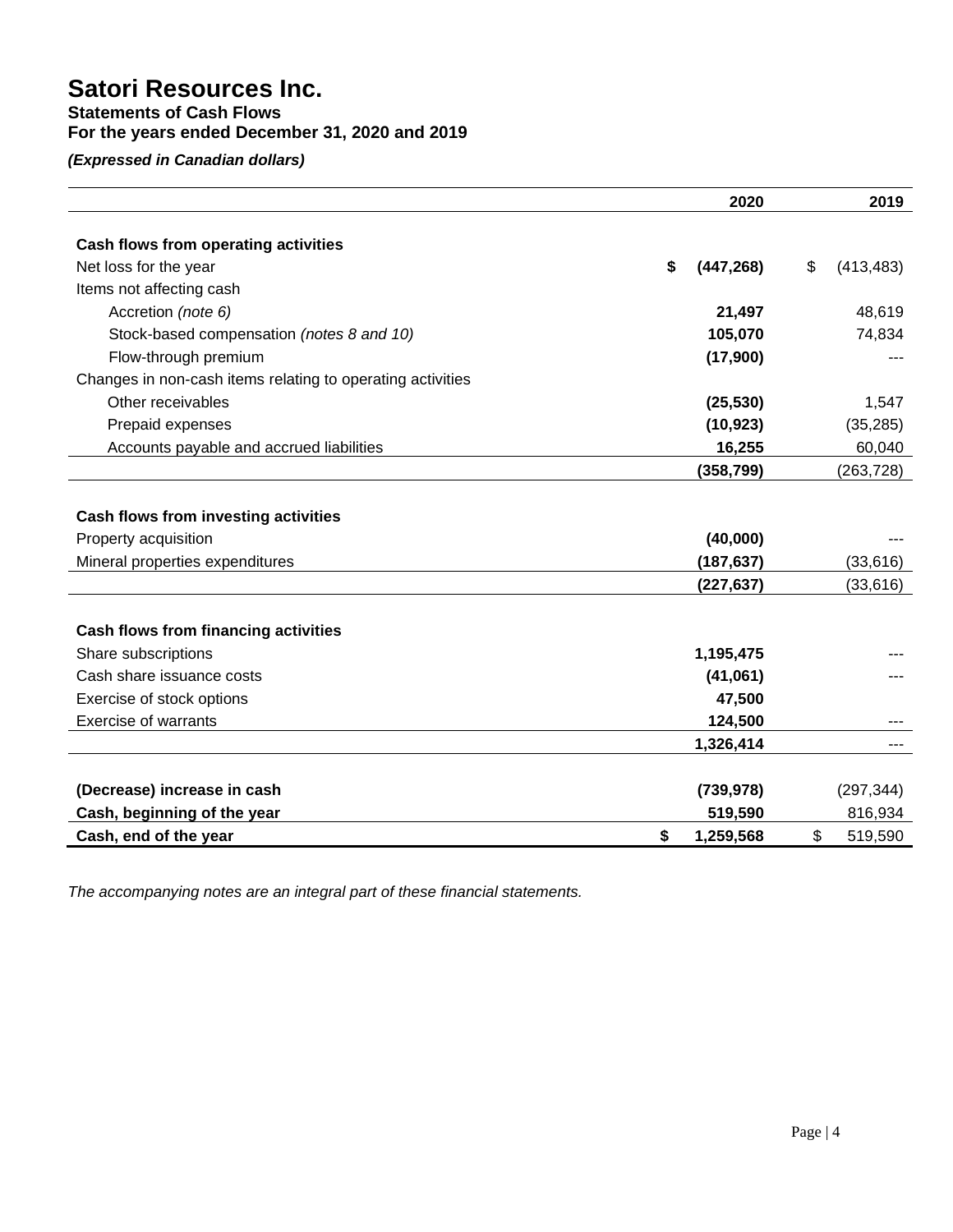**Statements of Cash Flows** 

## **For the years ended December 31, 2020 and 2019**

*(Expressed in Canadian dollars)* 

|                                                            | 2020             | 2019             |
|------------------------------------------------------------|------------------|------------------|
|                                                            |                  |                  |
| Cash flows from operating activities                       |                  |                  |
| Net loss for the year                                      | \$<br>(447, 268) | \$<br>(413, 483) |
| Items not affecting cash                                   |                  |                  |
| Accretion (note 6)                                         | 21,497           | 48,619           |
| Stock-based compensation (notes 8 and 10)                  | 105,070          | 74,834           |
| Flow-through premium                                       | (17,900)         |                  |
| Changes in non-cash items relating to operating activities |                  |                  |
| Other receivables                                          | (25, 530)        | 1,547            |
| Prepaid expenses                                           | (10, 923)        | (35, 285)        |
| Accounts payable and accrued liabilities                   | 16,255           | 60,040           |
|                                                            | (358, 799)       | (263, 728)       |
|                                                            |                  |                  |
| Cash flows from investing activities                       |                  |                  |
| Property acquisition                                       | (40,000)         |                  |
| Mineral properties expenditures                            | (187, 637)       | (33, 616)        |
|                                                            | (227, 637)       | (33, 616)        |
|                                                            |                  |                  |
| <b>Cash flows from financing activities</b>                |                  |                  |
| Share subscriptions                                        | 1,195,475        |                  |
| Cash share issuance costs                                  | (41,061)         |                  |
| Exercise of stock options                                  | 47,500           |                  |
| <b>Exercise of warrants</b>                                | 124,500          |                  |
|                                                            | 1,326,414        | ---              |
|                                                            |                  |                  |
| (Decrease) increase in cash                                | (739, 978)       | (297, 344)       |
| Cash, beginning of the year                                | 519,590          | 816,934          |
| Cash, end of the year                                      | \$<br>1,259,568  | \$<br>519,590    |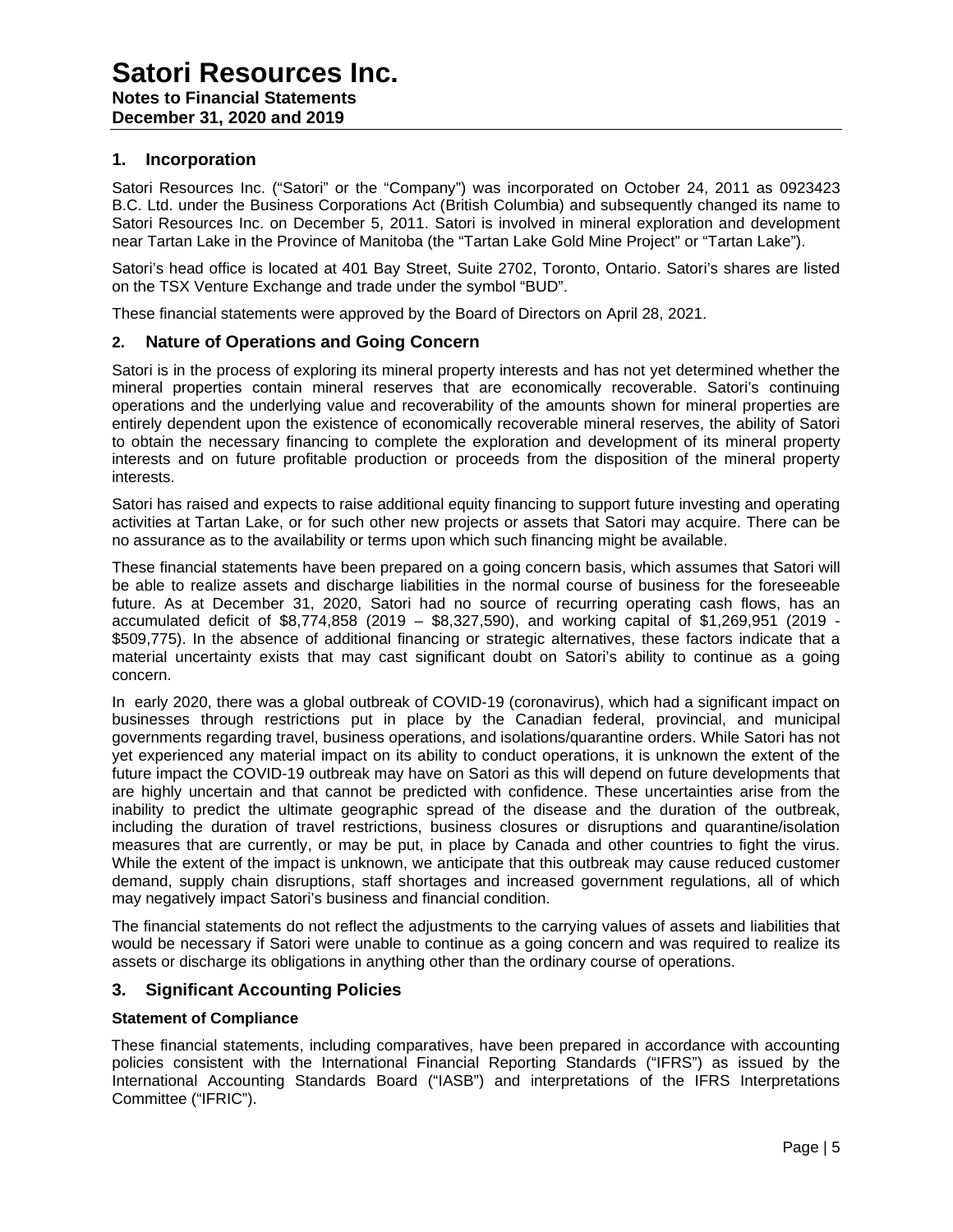#### **1. Incorporation**

Satori Resources Inc. ("Satori" or the "Company") was incorporated on October 24, 2011 as 0923423 B.C. Ltd. under the Business Corporations Act (British Columbia) and subsequently changed its name to Satori Resources Inc. on December 5, 2011. Satori is involved in mineral exploration and development near Tartan Lake in the Province of Manitoba (the "Tartan Lake Gold Mine Project" or "Tartan Lake").

Satori's head office is located at 401 Bay Street, Suite 2702, Toronto, Ontario. Satori's shares are listed on the TSX Venture Exchange and trade under the symbol "BUD".

These financial statements were approved by the Board of Directors on April 28, 2021.

### **2. Nature of Operations and Going Concern**

Satori is in the process of exploring its mineral property interests and has not yet determined whether the mineral properties contain mineral reserves that are economically recoverable. Satori's continuing operations and the underlying value and recoverability of the amounts shown for mineral properties are entirely dependent upon the existence of economically recoverable mineral reserves, the ability of Satori to obtain the necessary financing to complete the exploration and development of its mineral property interests and on future profitable production or proceeds from the disposition of the mineral property interests.

Satori has raised and expects to raise additional equity financing to support future investing and operating activities at Tartan Lake, or for such other new projects or assets that Satori may acquire. There can be no assurance as to the availability or terms upon which such financing might be available.

These financial statements have been prepared on a going concern basis, which assumes that Satori will be able to realize assets and discharge liabilities in the normal course of business for the foreseeable future. As at December 31, 2020, Satori had no source of recurring operating cash flows, has an accumulated deficit of \$8,774,858 (2019 – \$8,327,590), and working capital of \$1,269,951 (2019 - \$509,775). In the absence of additional financing or strategic alternatives, these factors indicate that a material uncertainty exists that may cast significant doubt on Satori's ability to continue as a going concern.

In early 2020, there was a global outbreak of COVID-19 (coronavirus), which had a significant impact on businesses through restrictions put in place by the Canadian federal, provincial, and municipal governments regarding travel, business operations, and isolations/quarantine orders. While Satori has not yet experienced any material impact on its ability to conduct operations, it is unknown the extent of the future impact the COVID-19 outbreak may have on Satori as this will depend on future developments that are highly uncertain and that cannot be predicted with confidence. These uncertainties arise from the inability to predict the ultimate geographic spread of the disease and the duration of the outbreak, including the duration of travel restrictions, business closures or disruptions and quarantine/isolation measures that are currently, or may be put, in place by Canada and other countries to fight the virus. While the extent of the impact is unknown, we anticipate that this outbreak may cause reduced customer demand, supply chain disruptions, staff shortages and increased government regulations, all of which may negatively impact Satori's business and financial condition.

The financial statements do not reflect the adjustments to the carrying values of assets and liabilities that would be necessary if Satori were unable to continue as a going concern and was required to realize its assets or discharge its obligations in anything other than the ordinary course of operations.

#### **3. Significant Accounting Policies**

#### **Statement of Compliance**

These financial statements, including comparatives, have been prepared in accordance with accounting policies consistent with the International Financial Reporting Standards ("IFRS") as issued by the International Accounting Standards Board ("IASB") and interpretations of the IFRS Interpretations Committee ("IFRIC").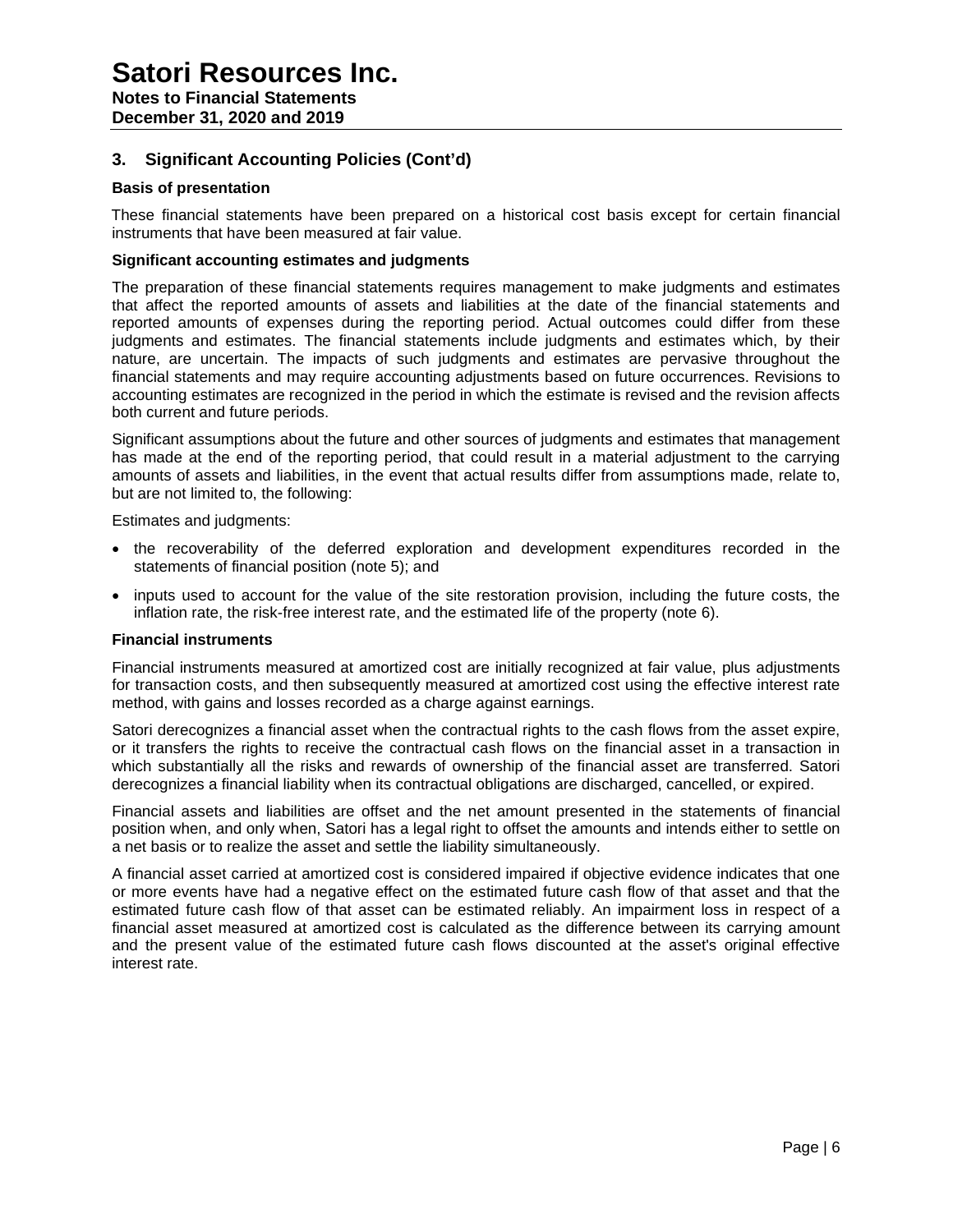**Notes to Financial Statements December 31, 2020 and 2019** 

## **3. Significant Accounting Policies (Cont'd)**

#### **Basis of presentation**

These financial statements have been prepared on a historical cost basis except for certain financial instruments that have been measured at fair value.

### **Significant accounting estimates and judgments**

The preparation of these financial statements requires management to make judgments and estimates that affect the reported amounts of assets and liabilities at the date of the financial statements and reported amounts of expenses during the reporting period. Actual outcomes could differ from these judgments and estimates. The financial statements include judgments and estimates which, by their nature, are uncertain. The impacts of such judgments and estimates are pervasive throughout the financial statements and may require accounting adjustments based on future occurrences. Revisions to accounting estimates are recognized in the period in which the estimate is revised and the revision affects both current and future periods.

Significant assumptions about the future and other sources of judgments and estimates that management has made at the end of the reporting period, that could result in a material adjustment to the carrying amounts of assets and liabilities, in the event that actual results differ from assumptions made, relate to, but are not limited to, the following:

Estimates and judgments:

- the recoverability of the deferred exploration and development expenditures recorded in the statements of financial position (note 5); and
- inputs used to account for the value of the site restoration provision, including the future costs, the inflation rate, the risk-free interest rate, and the estimated life of the property (note 6).

#### **Financial instruments**

Financial instruments measured at amortized cost are initially recognized at fair value, plus adjustments for transaction costs, and then subsequently measured at amortized cost using the effective interest rate method, with gains and losses recorded as a charge against earnings.

Satori derecognizes a financial asset when the contractual rights to the cash flows from the asset expire, or it transfers the rights to receive the contractual cash flows on the financial asset in a transaction in which substantially all the risks and rewards of ownership of the financial asset are transferred. Satori derecognizes a financial liability when its contractual obligations are discharged, cancelled, or expired.

Financial assets and liabilities are offset and the net amount presented in the statements of financial position when, and only when, Satori has a legal right to offset the amounts and intends either to settle on a net basis or to realize the asset and settle the liability simultaneously.

A financial asset carried at amortized cost is considered impaired if objective evidence indicates that one or more events have had a negative effect on the estimated future cash flow of that asset and that the estimated future cash flow of that asset can be estimated reliably. An impairment loss in respect of a financial asset measured at amortized cost is calculated as the difference between its carrying amount and the present value of the estimated future cash flows discounted at the asset's original effective interest rate.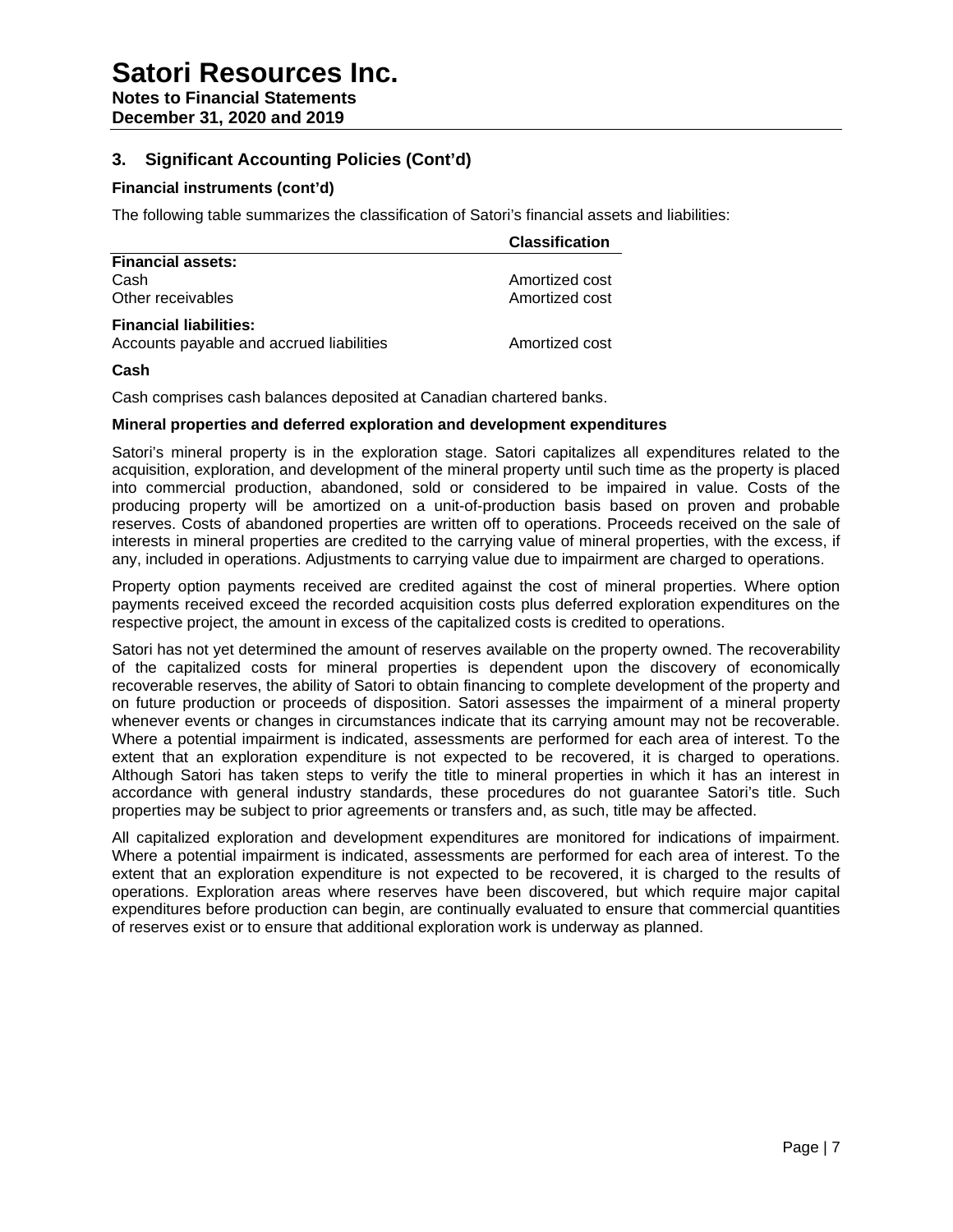**Notes to Financial Statements December 31, 2020 and 2019** 

## **3. Significant Accounting Policies (Cont'd)**

### **Financial instruments (cont'd)**

The following table summarizes the classification of Satori's financial assets and liabilities:

|                                          | <b>Classification</b> |
|------------------------------------------|-----------------------|
| <b>Financial assets:</b>                 |                       |
| Cash                                     | Amortized cost        |
| Other receivables                        | Amortized cost        |
| <b>Financial liabilities:</b>            |                       |
| Accounts payable and accrued liabilities | Amortized cost        |

#### **Cash**

Cash comprises cash balances deposited at Canadian chartered banks.

#### **Mineral properties and deferred exploration and development expenditures**

Satori's mineral property is in the exploration stage. Satori capitalizes all expenditures related to the acquisition, exploration, and development of the mineral property until such time as the property is placed into commercial production, abandoned, sold or considered to be impaired in value. Costs of the producing property will be amortized on a unit-of-production basis based on proven and probable reserves. Costs of abandoned properties are written off to operations. Proceeds received on the sale of interests in mineral properties are credited to the carrying value of mineral properties, with the excess, if any, included in operations. Adjustments to carrying value due to impairment are charged to operations.

Property option payments received are credited against the cost of mineral properties. Where option payments received exceed the recorded acquisition costs plus deferred exploration expenditures on the respective project, the amount in excess of the capitalized costs is credited to operations.

Satori has not yet determined the amount of reserves available on the property owned. The recoverability of the capitalized costs for mineral properties is dependent upon the discovery of economically recoverable reserves, the ability of Satori to obtain financing to complete development of the property and on future production or proceeds of disposition. Satori assesses the impairment of a mineral property whenever events or changes in circumstances indicate that its carrying amount may not be recoverable. Where a potential impairment is indicated, assessments are performed for each area of interest. To the extent that an exploration expenditure is not expected to be recovered, it is charged to operations. Although Satori has taken steps to verify the title to mineral properties in which it has an interest in accordance with general industry standards, these procedures do not guarantee Satori's title. Such properties may be subject to prior agreements or transfers and, as such, title may be affected.

All capitalized exploration and development expenditures are monitored for indications of impairment. Where a potential impairment is indicated, assessments are performed for each area of interest. To the extent that an exploration expenditure is not expected to be recovered, it is charged to the results of operations. Exploration areas where reserves have been discovered, but which require major capital expenditures before production can begin, are continually evaluated to ensure that commercial quantities of reserves exist or to ensure that additional exploration work is underway as planned.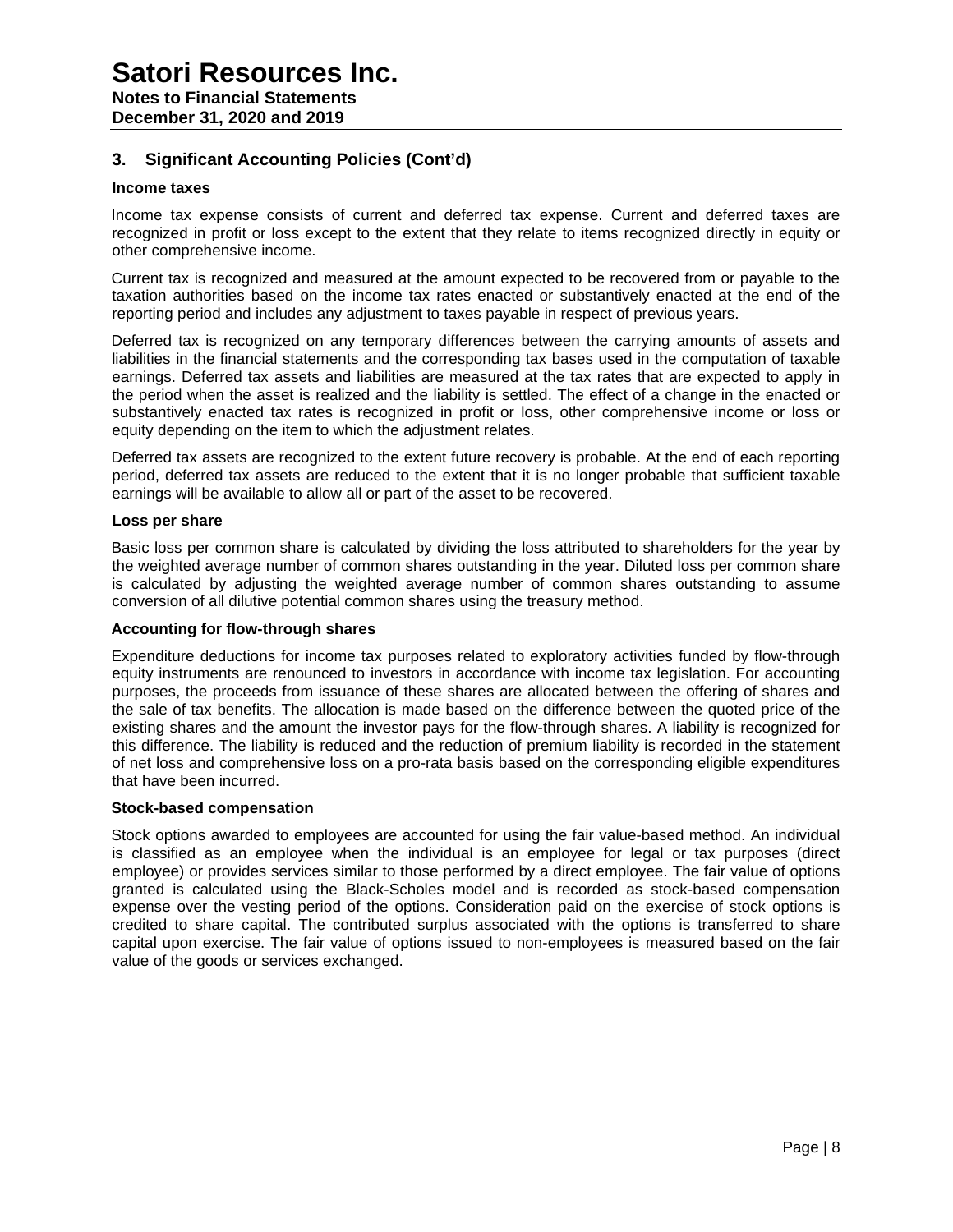## **3. Significant Accounting Policies (Cont'd)**

#### **Income taxes**

Income tax expense consists of current and deferred tax expense. Current and deferred taxes are recognized in profit or loss except to the extent that they relate to items recognized directly in equity or other comprehensive income.

Current tax is recognized and measured at the amount expected to be recovered from or payable to the taxation authorities based on the income tax rates enacted or substantively enacted at the end of the reporting period and includes any adjustment to taxes payable in respect of previous years.

Deferred tax is recognized on any temporary differences between the carrying amounts of assets and liabilities in the financial statements and the corresponding tax bases used in the computation of taxable earnings. Deferred tax assets and liabilities are measured at the tax rates that are expected to apply in the period when the asset is realized and the liability is settled. The effect of a change in the enacted or substantively enacted tax rates is recognized in profit or loss, other comprehensive income or loss or equity depending on the item to which the adjustment relates.

Deferred tax assets are recognized to the extent future recovery is probable. At the end of each reporting period, deferred tax assets are reduced to the extent that it is no longer probable that sufficient taxable earnings will be available to allow all or part of the asset to be recovered.

#### **Loss per share**

Basic loss per common share is calculated by dividing the loss attributed to shareholders for the year by the weighted average number of common shares outstanding in the year. Diluted loss per common share is calculated by adjusting the weighted average number of common shares outstanding to assume conversion of all dilutive potential common shares using the treasury method.

#### **Accounting for flow-through shares**

Expenditure deductions for income tax purposes related to exploratory activities funded by flow-through equity instruments are renounced to investors in accordance with income tax legislation. For accounting purposes, the proceeds from issuance of these shares are allocated between the offering of shares and the sale of tax benefits. The allocation is made based on the difference between the quoted price of the existing shares and the amount the investor pays for the flow-through shares. A liability is recognized for this difference. The liability is reduced and the reduction of premium liability is recorded in the statement of net loss and comprehensive loss on a pro-rata basis based on the corresponding eligible expenditures that have been incurred.

#### **Stock-based compensation**

Stock options awarded to employees are accounted for using the fair value-based method. An individual is classified as an employee when the individual is an employee for legal or tax purposes (direct employee) or provides services similar to those performed by a direct employee. The fair value of options granted is calculated using the Black-Scholes model and is recorded as stock-based compensation expense over the vesting period of the options. Consideration paid on the exercise of stock options is credited to share capital. The contributed surplus associated with the options is transferred to share capital upon exercise. The fair value of options issued to non-employees is measured based on the fair value of the goods or services exchanged.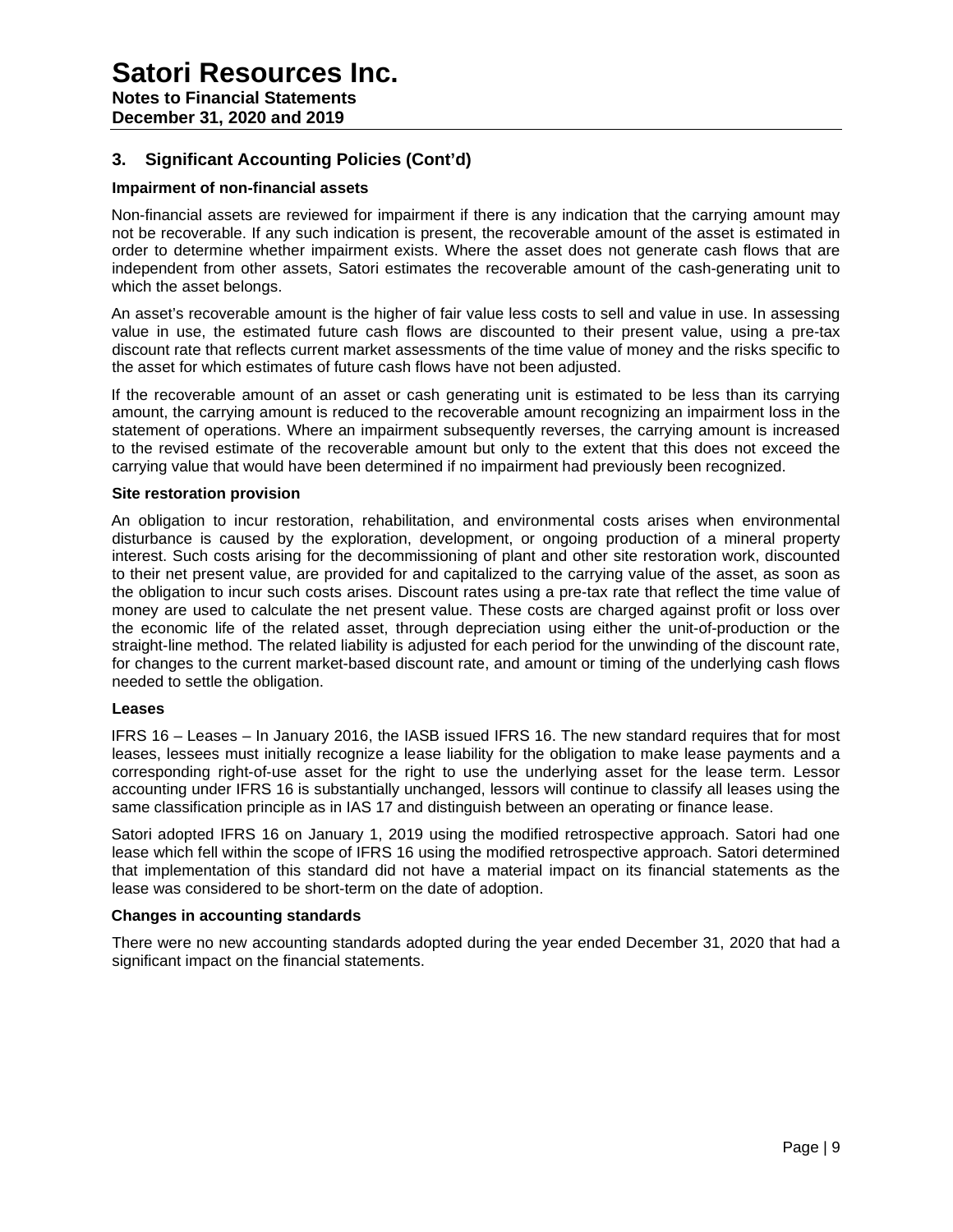**Notes to Financial Statements December 31, 2020 and 2019** 

## **3. Significant Accounting Policies (Cont'd)**

#### **Impairment of non-financial assets**

Non-financial assets are reviewed for impairment if there is any indication that the carrying amount may not be recoverable. If any such indication is present, the recoverable amount of the asset is estimated in order to determine whether impairment exists. Where the asset does not generate cash flows that are independent from other assets, Satori estimates the recoverable amount of the cash-generating unit to which the asset belongs.

An asset's recoverable amount is the higher of fair value less costs to sell and value in use. In assessing value in use, the estimated future cash flows are discounted to their present value, using a pre-tax discount rate that reflects current market assessments of the time value of money and the risks specific to the asset for which estimates of future cash flows have not been adjusted.

If the recoverable amount of an asset or cash generating unit is estimated to be less than its carrying amount, the carrying amount is reduced to the recoverable amount recognizing an impairment loss in the statement of operations. Where an impairment subsequently reverses, the carrying amount is increased to the revised estimate of the recoverable amount but only to the extent that this does not exceed the carrying value that would have been determined if no impairment had previously been recognized.

#### **Site restoration provision**

An obligation to incur restoration, rehabilitation, and environmental costs arises when environmental disturbance is caused by the exploration, development, or ongoing production of a mineral property interest. Such costs arising for the decommissioning of plant and other site restoration work, discounted to their net present value, are provided for and capitalized to the carrying value of the asset, as soon as the obligation to incur such costs arises. Discount rates using a pre-tax rate that reflect the time value of money are used to calculate the net present value. These costs are charged against profit or loss over the economic life of the related asset, through depreciation using either the unit-of-production or the straight-line method. The related liability is adjusted for each period for the unwinding of the discount rate, for changes to the current market-based discount rate, and amount or timing of the underlying cash flows needed to settle the obligation.

#### **Leases**

IFRS 16 – Leases – In January 2016, the IASB issued IFRS 16. The new standard requires that for most leases, lessees must initially recognize a lease liability for the obligation to make lease payments and a corresponding right-of-use asset for the right to use the underlying asset for the lease term. Lessor accounting under IFRS 16 is substantially unchanged, lessors will continue to classify all leases using the same classification principle as in IAS 17 and distinguish between an operating or finance lease.

Satori adopted IFRS 16 on January 1, 2019 using the modified retrospective approach. Satori had one lease which fell within the scope of IFRS 16 using the modified retrospective approach. Satori determined that implementation of this standard did not have a material impact on its financial statements as the lease was considered to be short-term on the date of adoption.

#### **Changes in accounting standards**

There were no new accounting standards adopted during the year ended December 31, 2020 that had a significant impact on the financial statements.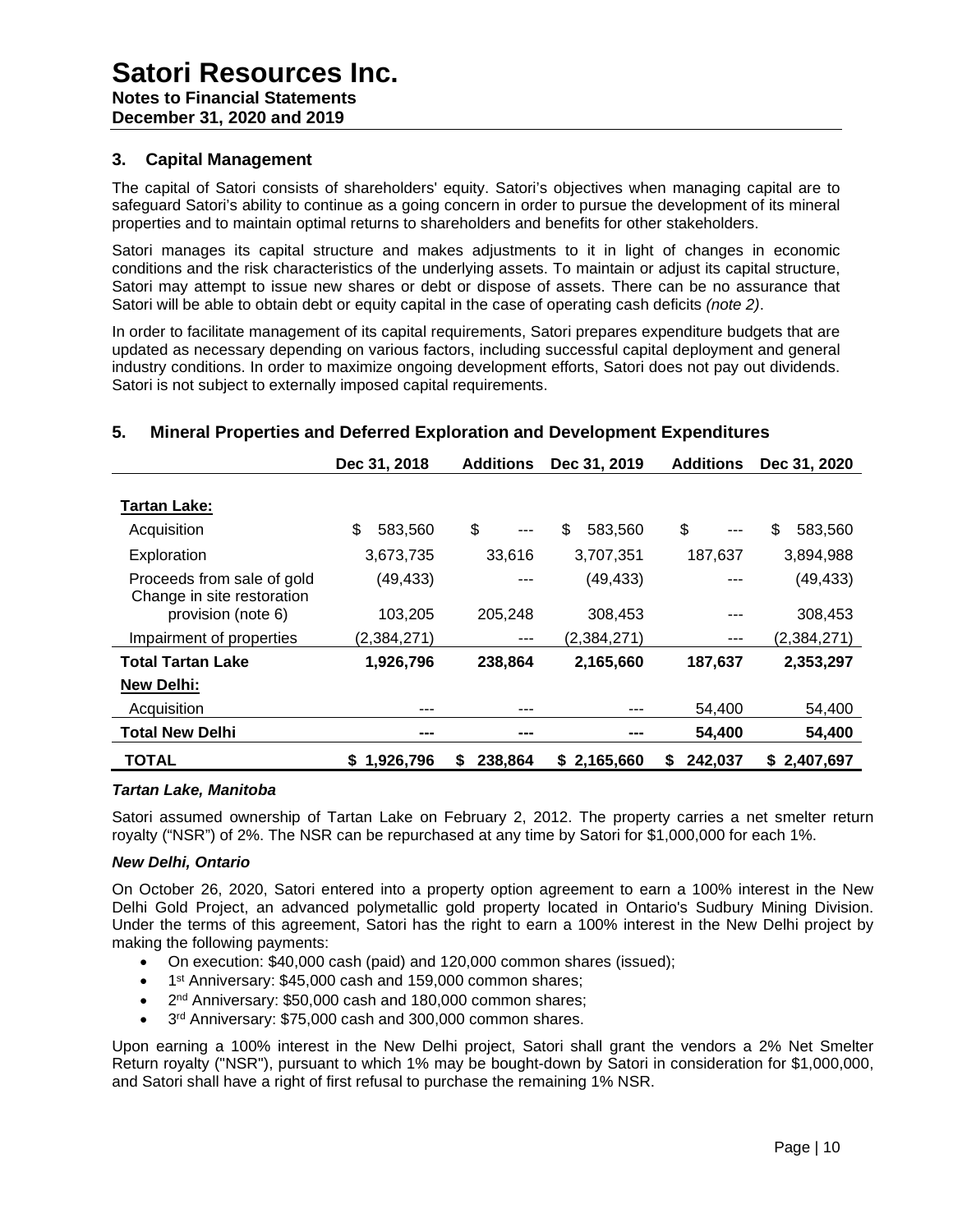#### **3. Capital Management**

The capital of Satori consists of shareholders' equity. Satori's objectives when managing capital are to safeguard Satori's ability to continue as a going concern in order to pursue the development of its mineral properties and to maintain optimal returns to shareholders and benefits for other stakeholders.

Satori manages its capital structure and makes adjustments to it in light of changes in economic conditions and the risk characteristics of the underlying assets. To maintain or adjust its capital structure, Satori may attempt to issue new shares or debt or dispose of assets. There can be no assurance that Satori will be able to obtain debt or equity capital in the case of operating cash deficits *(note 2)*.

In order to facilitate management of its capital requirements, Satori prepares expenditure budgets that are updated as necessary depending on various factors, including successful capital deployment and general industry conditions. In order to maximize ongoing development efforts, Satori does not pay out dividends. Satori is not subject to externally imposed capital requirements.

|                                                          | Dec 31, 2018  | <b>Additions</b> | Dec 31, 2019  | <b>Additions</b> | Dec 31, 2020  |
|----------------------------------------------------------|---------------|------------------|---------------|------------------|---------------|
| <b>Tartan Lake:</b>                                      |               |                  |               |                  |               |
| Acquisition                                              | \$<br>583,560 | \$<br>---        | \$<br>583,560 | \$<br>---        | \$<br>583,560 |
| Exploration                                              | 3,673,735     | 33,616           | 3,707,351     | 187,637          | 3,894,988     |
| Proceeds from sale of gold<br>Change in site restoration | (49, 433)     |                  | (49, 433)     | ---              | (49, 433)     |
| provision (note 6)                                       | 103,205       | 205,248          | 308,453       | ---              | 308,453       |
| Impairment of properties                                 | (2,384,271)   | ---              | (2,384,271)   | ---              | (2,384,271)   |
| <b>Total Tartan Lake</b>                                 | 1,926,796     | 238,864          | 2,165,660     | 187,637          | 2,353,297     |
| <b>New Delhi:</b>                                        |               |                  |               |                  |               |
| Acquisition                                              | ---           | ---              | ---           | 54,400           | 54,400        |
| <b>Total New Delhi</b>                                   | ---           | ---              | ---           | 54,400           | 54,400        |
| <b>TOTAL</b>                                             | \$1,926,796   | 238,864<br>S     | \$2,165,660   | 242,037<br>S     | \$ 2,407,697  |

## **5. Mineral Properties and Deferred Exploration and Development Expenditures**

#### *Tartan Lake, Manitoba*

Satori assumed ownership of Tartan Lake on February 2, 2012. The property carries a net smelter return royalty ("NSR") of 2%. The NSR can be repurchased at any time by Satori for \$1,000,000 for each 1%.

#### *New Delhi, Ontario*

On October 26, 2020, Satori entered into a property option agreement to earn a 100% interest in the New Delhi Gold Project, an advanced polymetallic gold property located in Ontario's Sudbury Mining Division. Under the terms of this agreement, Satori has the right to earn a 100% interest in the New Delhi project by making the following payments:

- On execution: \$40,000 cash (paid) and 120,000 common shares (issued);
- 1<sup>st</sup> Anniversary: \$45,000 cash and 159,000 common shares;
- 2<sup>nd</sup> Anniversary: \$50,000 cash and 180,000 common shares;
- 3rd Anniversary: \$75,000 cash and 300,000 common shares.

Upon earning a 100% interest in the New Delhi project, Satori shall grant the vendors a 2% Net Smelter Return royalty ("NSR"), pursuant to which 1% may be bought-down by Satori in consideration for \$1,000,000, and Satori shall have a right of first refusal to purchase the remaining 1% NSR.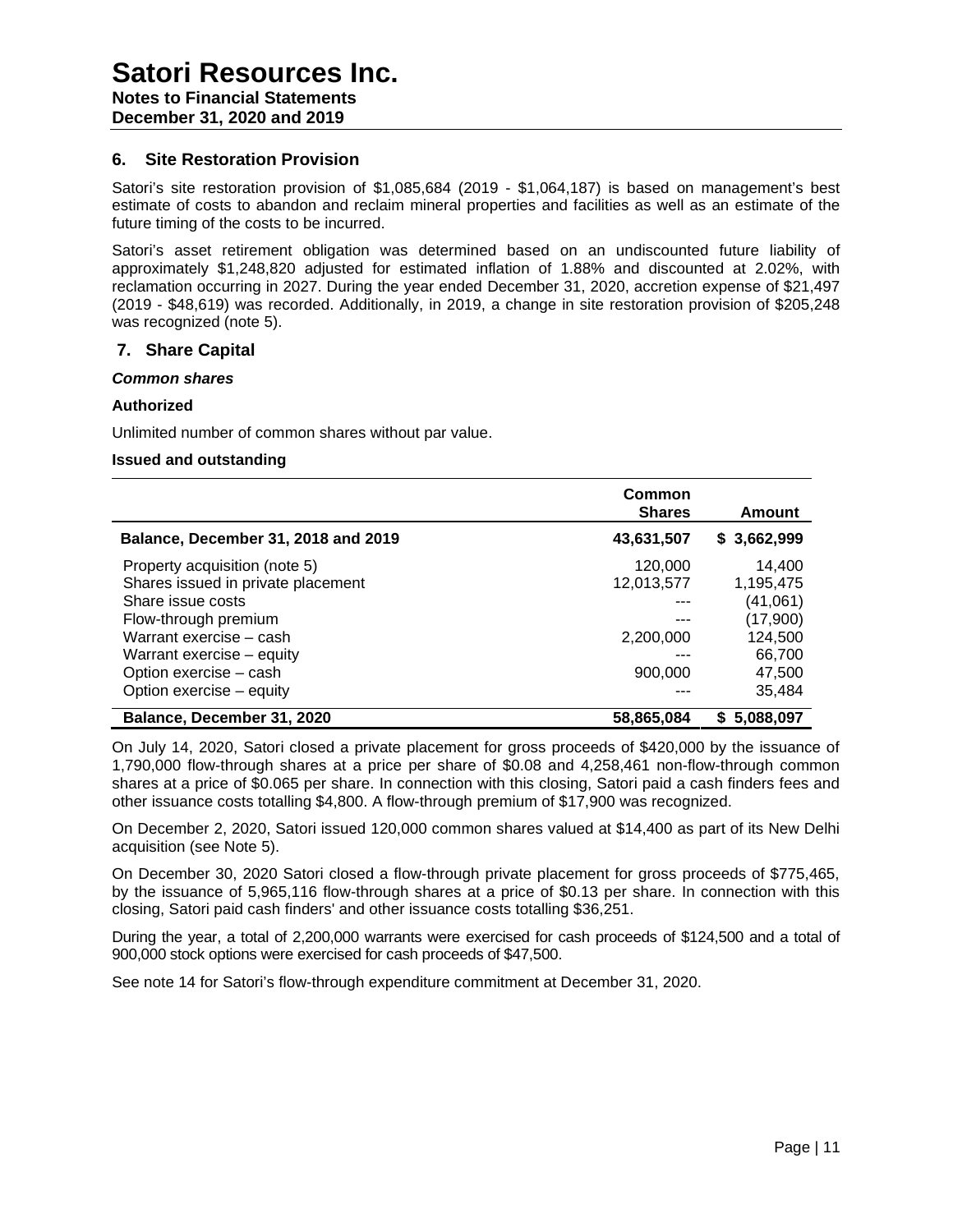#### **6. Site Restoration Provision**

Satori's site restoration provision of \$1,085,684 (2019 - \$1,064,187) is based on management's best estimate of costs to abandon and reclaim mineral properties and facilities as well as an estimate of the future timing of the costs to be incurred.

Satori's asset retirement obligation was determined based on an undiscounted future liability of approximately \$1,248,820 adjusted for estimated inflation of 1.88% and discounted at 2.02%, with reclamation occurring in 2027. During the year ended December 31, 2020, accretion expense of \$21,497 (2019 - \$48,619) was recorded. Additionally, in 2019, a change in site restoration provision of \$205,248 was recognized (note 5).

#### **7. Share Capital**

#### *Common shares*

#### **Authorized**

Unlimited number of common shares without par value.

#### **Issued and outstanding**

|                                     | Common<br><b>Shares</b> | Amount       |
|-------------------------------------|-------------------------|--------------|
| Balance, December 31, 2018 and 2019 | 43,631,507              | \$3,662,999  |
| Property acquisition (note 5)       | 120,000                 | 14.400       |
| Shares issued in private placement  | 12,013,577              | 1,195,475    |
| Share issue costs                   |                         | (41,061)     |
| Flow-through premium                |                         | (17,900)     |
| Warrant exercise - cash             | 2,200,000               | 124,500      |
| Warrant exercise – equity           |                         | 66.700       |
| Option exercise - cash              | 900.000                 | 47,500       |
| Option exercise – equity            |                         | 35,484       |
| Balance, December 31, 2020          | 58,865,084              | \$ 5,088,097 |

On July 14, 2020, Satori closed a private placement for gross proceeds of \$420,000 by the issuance of 1,790,000 flow-through shares at a price per share of \$0.08 and 4,258,461 non-flow-through common shares at a price of \$0.065 per share. In connection with this closing, Satori paid a cash finders fees and other issuance costs totalling \$4,800. A flow-through premium of \$17,900 was recognized.

On December 2, 2020, Satori issued 120,000 common shares valued at \$14,400 as part of its New Delhi acquisition (see Note 5).

On December 30, 2020 Satori closed a flow-through private placement for gross proceeds of \$775,465, by the issuance of 5,965,116 flow-through shares at a price of \$0.13 per share. In connection with this closing, Satori paid cash finders' and other issuance costs totalling \$36,251.

During the year, a total of 2,200,000 warrants were exercised for cash proceeds of \$124,500 and a total of 900,000 stock options were exercised for cash proceeds of \$47,500.

See note 14 for Satori's flow-through expenditure commitment at December 31, 2020.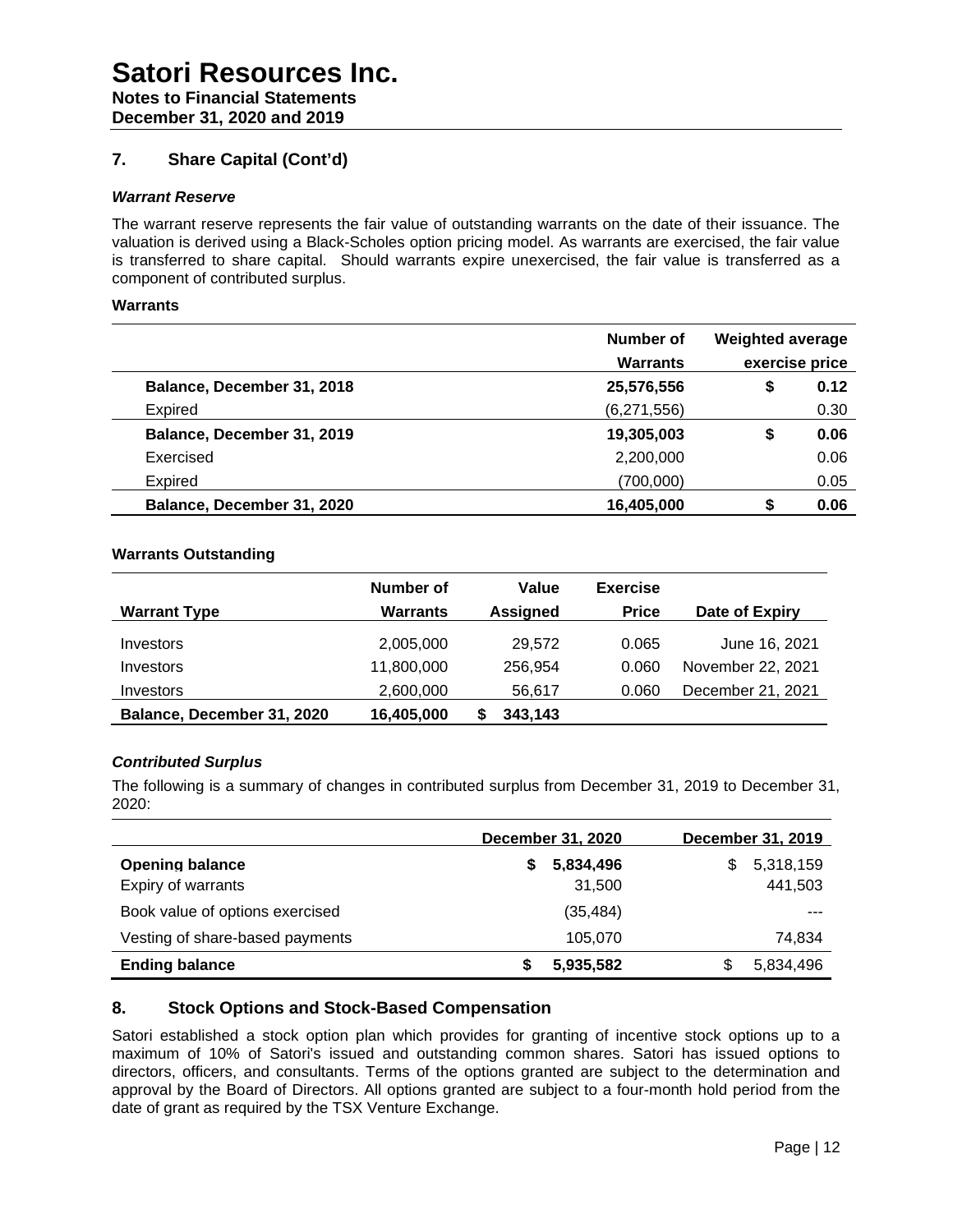**7. Share Capital (Cont'd)** 

#### *Warrant Reserve*

The warrant reserve represents the fair value of outstanding warrants on the date of their issuance. The valuation is derived using a Black-Scholes option pricing model. As warrants are exercised, the fair value is transferred to share capital. Should warrants expire unexercised, the fair value is transferred as a component of contributed surplus.

#### **Warrants**

|                            | Number of<br><b>Warrants</b> | <b>Weighted average</b> | exercise price |
|----------------------------|------------------------------|-------------------------|----------------|
| Balance, December 31, 2018 | 25,576,556                   | \$                      | 0.12           |
| Expired                    | (6,271,556)                  |                         | 0.30           |
| Balance, December 31, 2019 | 19,305,003                   | \$                      | 0.06           |
| Exercised                  | 2,200,000                    |                         | 0.06           |
| Expired                    | (700,000)                    |                         | 0.05           |
| Balance, December 31, 2020 | 16,405,000                   | \$                      | 0.06           |

#### **Warrants Outstanding**

|                            | Number of       | Value           | <b>Exercise</b> |                   |
|----------------------------|-----------------|-----------------|-----------------|-------------------|
| <b>Warrant Type</b>        | <b>Warrants</b> | <b>Assigned</b> | <b>Price</b>    | Date of Expiry    |
| Investors                  | 2,005,000       | 29,572          | 0.065           | June 16, 2021     |
| Investors                  | 11,800,000      | 256.954         | 0.060           | November 22, 2021 |
| Investors                  | 2,600,000       | 56,617          | 0.060           | December 21, 2021 |
| Balance, December 31, 2020 | 16,405,000      | 343,143         |                 |                   |

#### *Contributed Surplus*

The following is a summary of changes in contributed surplus from December 31, 2019 to December 31, 2020:

|                                 | December 31, 2020 | December 31, 2019 |
|---------------------------------|-------------------|-------------------|
| <b>Opening balance</b>          | 5,834,496         | 5.318.159<br>S    |
| Expiry of warrants              | 31,500            | 441,503           |
| Book value of options exercised | (35, 484)         |                   |
| Vesting of share-based payments | 105,070           | 74,834            |
| <b>Ending balance</b>           | 5,935,582         | 5,834,496         |

### **8. Stock Options and Stock-Based Compensation**

Satori established a stock option plan which provides for granting of incentive stock options up to a maximum of 10% of Satori's issued and outstanding common shares. Satori has issued options to directors, officers, and consultants. Terms of the options granted are subject to the determination and approval by the Board of Directors. All options granted are subject to a four-month hold period from the date of grant as required by the TSX Venture Exchange.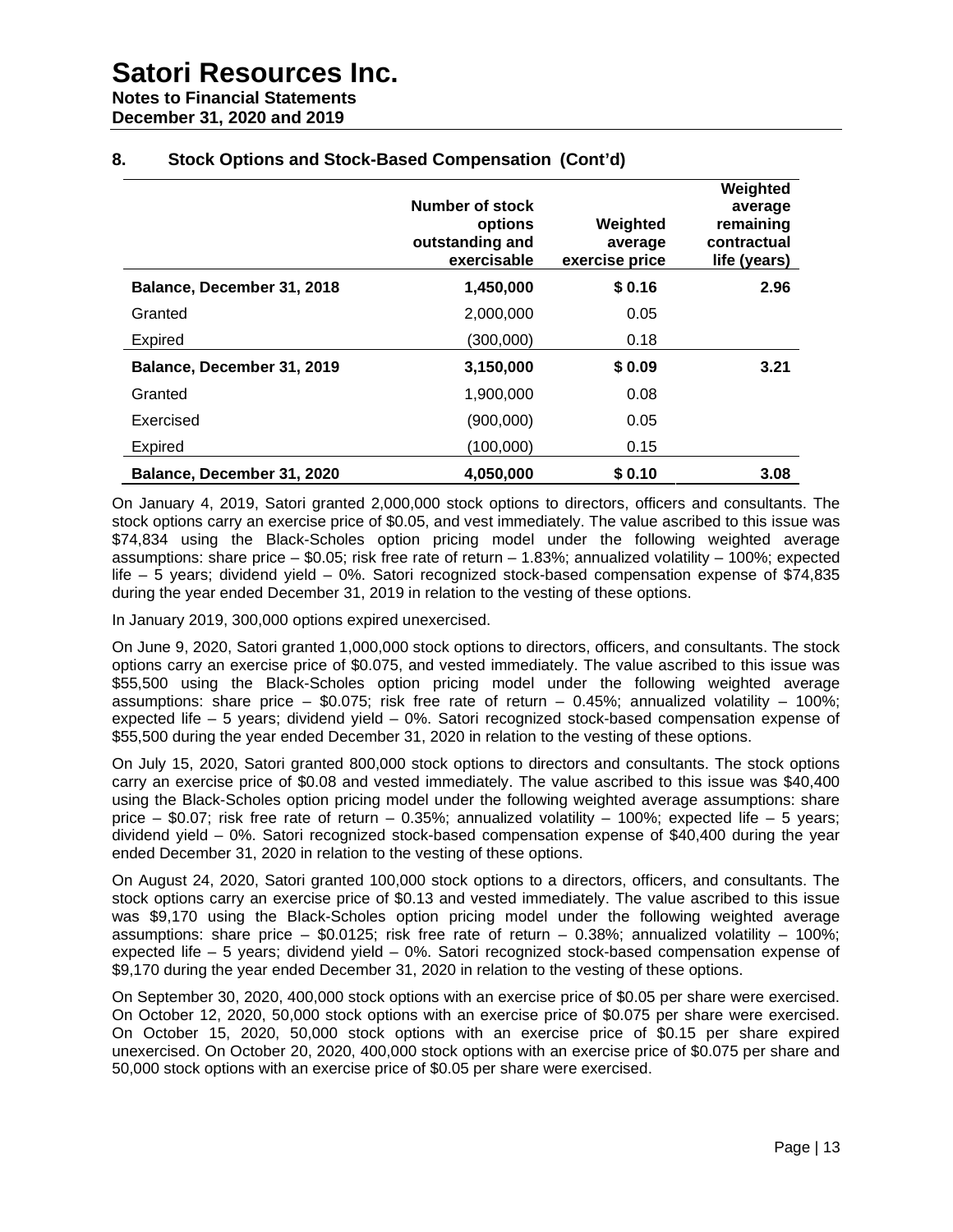**Notes to Financial Statements December 31, 2020 and 2019** 

|                            | Number of stock<br>options<br>outstanding and<br>exercisable | Weighted<br>average<br>exercise price | Weighted<br>average<br>remaining<br>contractual<br>life (years) |
|----------------------------|--------------------------------------------------------------|---------------------------------------|-----------------------------------------------------------------|
| Balance, December 31, 2018 | 1,450,000                                                    | \$0.16                                | 2.96                                                            |
| Granted                    | 2,000,000                                                    | 0.05                                  |                                                                 |
| <b>Expired</b>             | (300,000)                                                    | 0.18                                  |                                                                 |
| Balance, December 31, 2019 | 3,150,000                                                    | \$0.09                                | 3.21                                                            |
| Granted                    | 1,900,000                                                    | 0.08                                  |                                                                 |
| Exercised                  | (900,000)                                                    | 0.05                                  |                                                                 |
| <b>Expired</b>             | (100.000)                                                    | 0.15                                  |                                                                 |
| Balance, December 31, 2020 | 4,050,000                                                    | \$0.10                                | 3.08                                                            |

### **8. Stock Options and Stock-Based Compensation (Cont'd)**

On January 4, 2019, Satori granted 2,000,000 stock options to directors, officers and consultants. The stock options carry an exercise price of \$0.05, and vest immediately. The value ascribed to this issue was \$74,834 using the Black-Scholes option pricing model under the following weighted average assumptions: share price – \$0.05; risk free rate of return – 1.83%; annualized volatility – 100%; expected life – 5 years; dividend yield – 0%. Satori recognized stock-based compensation expense of \$74,835 during the year ended December 31, 2019 in relation to the vesting of these options.

In January 2019, 300,000 options expired unexercised.

On June 9, 2020, Satori granted 1,000,000 stock options to directors, officers, and consultants. The stock options carry an exercise price of \$0.075, and vested immediately. The value ascribed to this issue was \$55,500 using the Black-Scholes option pricing model under the following weighted average assumptions: share price  $-$  \$0.075; risk free rate of return  $-$  0.45%; annualized volatility  $-$  100%; expected life – 5 years; dividend yield – 0%. Satori recognized stock-based compensation expense of \$55,500 during the year ended December 31, 2020 in relation to the vesting of these options.

On July 15, 2020, Satori granted 800,000 stock options to directors and consultants. The stock options carry an exercise price of \$0.08 and vested immediately. The value ascribed to this issue was \$40,400 using the Black-Scholes option pricing model under the following weighted average assumptions: share price – \$0.07; risk free rate of return – 0.35%; annualized volatility – 100%; expected life – 5 years; dividend yield – 0%. Satori recognized stock-based compensation expense of \$40,400 during the year ended December 31, 2020 in relation to the vesting of these options.

On August 24, 2020, Satori granted 100,000 stock options to a directors, officers, and consultants. The stock options carry an exercise price of \$0.13 and vested immediately. The value ascribed to this issue was \$9,170 using the Black-Scholes option pricing model under the following weighted average assumptions: share price  $-$  \$0.0125; risk free rate of return  $-$  0.38%; annualized volatility  $-$  100%; expected life – 5 years; dividend yield – 0%. Satori recognized stock-based compensation expense of \$9,170 during the year ended December 31, 2020 in relation to the vesting of these options.

On September 30, 2020, 400,000 stock options with an exercise price of \$0.05 per share were exercised. On October 12, 2020, 50,000 stock options with an exercise price of \$0.075 per share were exercised. On October 15, 2020, 50,000 stock options with an exercise price of \$0.15 per share expired unexercised. On October 20, 2020, 400,000 stock options with an exercise price of \$0.075 per share and 50,000 stock options with an exercise price of \$0.05 per share were exercised.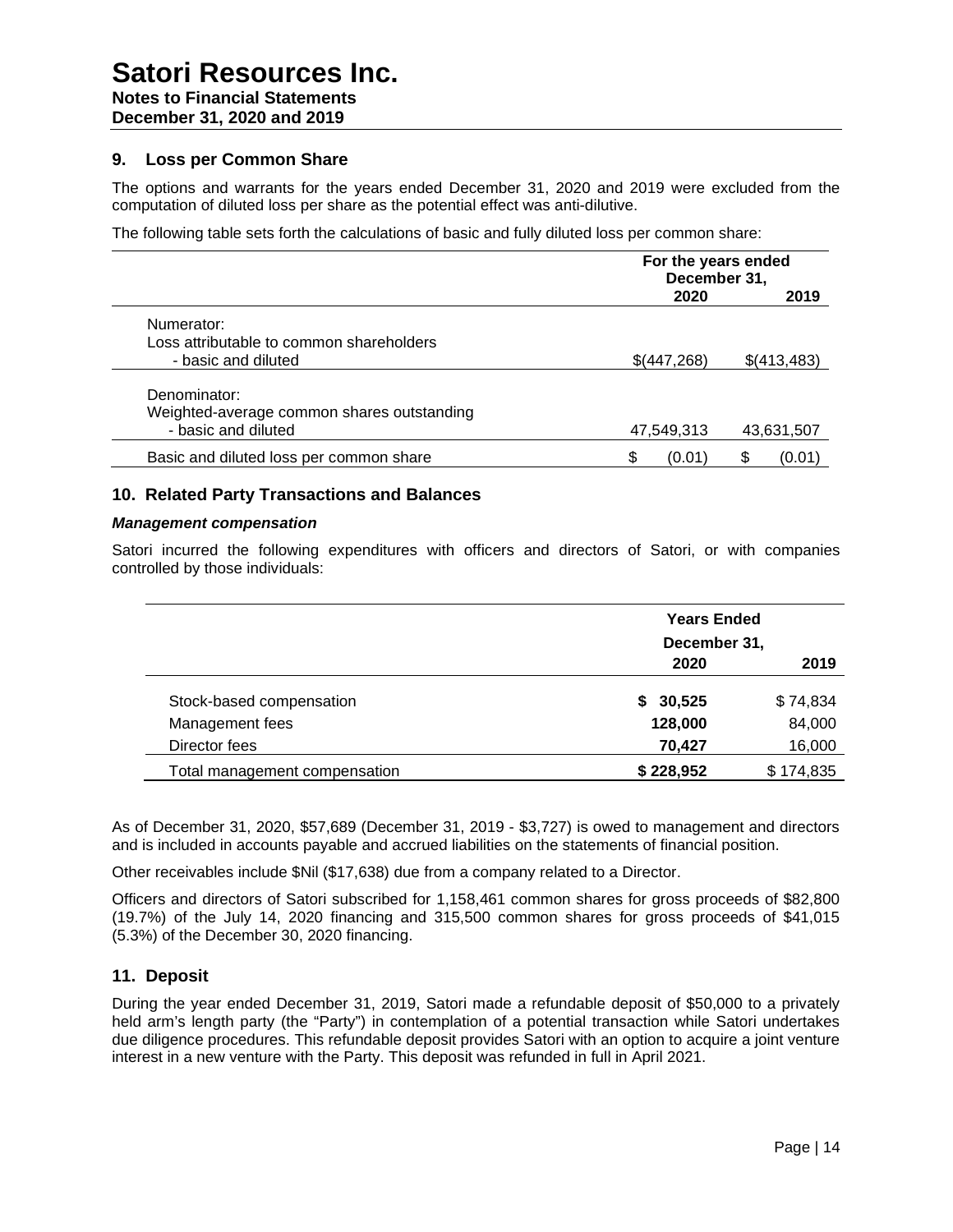**Notes to Financial Statements December 31, 2020 and 2019** 

### **9. Loss per Common Share**

The options and warrants for the years ended December 31, 2020 and 2019 were excluded from the computation of diluted loss per share as the potential effect was anti-dilutive.

The following table sets forth the calculations of basic and fully diluted loss per common share:

| For the years ended<br>December 31, |              |  |
|-------------------------------------|--------------|--|
| 2020                                | 2019         |  |
|                                     |              |  |
|                                     |              |  |
| \$(447,268)                         | \$(413,483)  |  |
|                                     |              |  |
|                                     |              |  |
| 47,549,313                          | 43,631,507   |  |
| S<br>(0.01)                         | \$<br>(0.01) |  |
|                                     |              |  |

## **10. Related Party Transactions and Balances**

#### *Management compensation*

Satori incurred the following expenditures with officers and directors of Satori, or with companies controlled by those individuals:

|                               | <b>Years Ended</b> |           |  |
|-------------------------------|--------------------|-----------|--|
|                               | December 31,       |           |  |
|                               | 2020               | 2019      |  |
| Stock-based compensation      | \$30,525           | \$74,834  |  |
| Management fees               | 128,000            | 84,000    |  |
| Director fees                 | 70,427             | 16,000    |  |
| Total management compensation | \$228,952          | \$174,835 |  |

As of December 31, 2020, \$57,689 (December 31, 2019 - \$3,727) is owed to management and directors and is included in accounts payable and accrued liabilities on the statements of financial position.

Other receivables include \$Nil (\$17,638) due from a company related to a Director.

Officers and directors of Satori subscribed for 1,158,461 common shares for gross proceeds of \$82,800 (19.7%) of the July 14, 2020 financing and 315,500 common shares for gross proceeds of \$41,015 (5.3%) of the December 30, 2020 financing.

## **11. Deposit**

During the year ended December 31, 2019, Satori made a refundable deposit of \$50,000 to a privately held arm's length party (the "Party") in contemplation of a potential transaction while Satori undertakes due diligence procedures. This refundable deposit provides Satori with an option to acquire a joint venture interest in a new venture with the Party. This deposit was refunded in full in April 2021.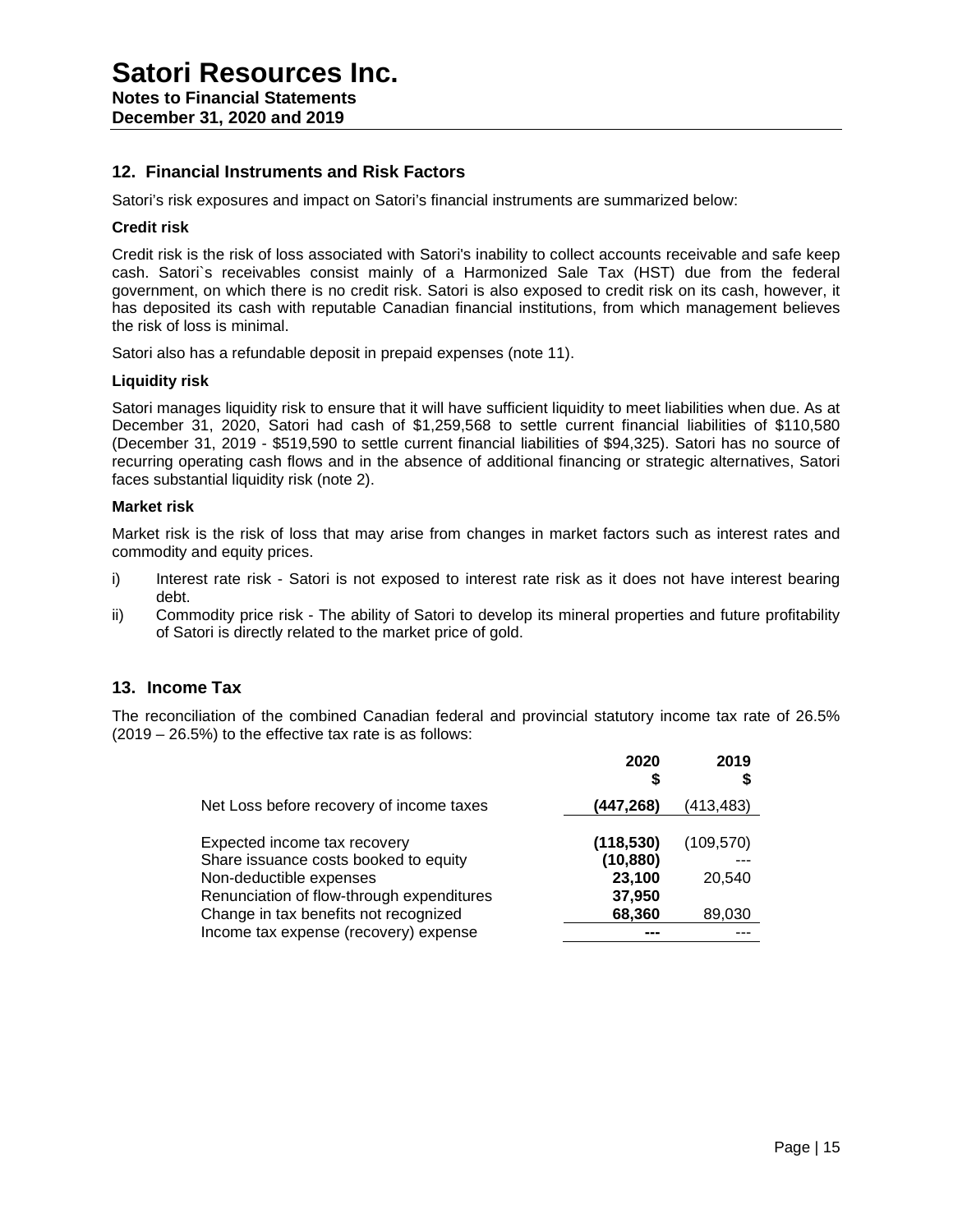### **12. Financial Instruments and Risk Factors**

Satori's risk exposures and impact on Satori's financial instruments are summarized below:

#### **Credit risk**

Credit risk is the risk of loss associated with Satori's inability to collect accounts receivable and safe keep cash. Satori`s receivables consist mainly of a Harmonized Sale Tax (HST) due from the federal government, on which there is no credit risk. Satori is also exposed to credit risk on its cash, however, it has deposited its cash with reputable Canadian financial institutions, from which management believes the risk of loss is minimal.

Satori also has a refundable deposit in prepaid expenses (note 11).

#### **Liquidity risk**

Satori manages liquidity risk to ensure that it will have sufficient liquidity to meet liabilities when due. As at December 31, 2020, Satori had cash of \$1,259,568 to settle current financial liabilities of \$110,580 (December 31, 2019 - \$519,590 to settle current financial liabilities of \$94,325). Satori has no source of recurring operating cash flows and in the absence of additional financing or strategic alternatives, Satori faces substantial liquidity risk (note 2).

#### **Market risk**

Market risk is the risk of loss that may arise from changes in market factors such as interest rates and commodity and equity prices.

- i) Interest rate risk Satori is not exposed to interest rate risk as it does not have interest bearing debt.
- ii) Commodity price risk The ability of Satori to develop its mineral properties and future profitability of Satori is directly related to the market price of gold.

### **13. Income Tax**

The reconciliation of the combined Canadian federal and provincial statutory income tax rate of 26.5% (2019 – 26.5%) to the effective tax rate is as follows:

|                                                                                                                                                                                        | 2020<br>S                                             | 2019<br>S                      |
|----------------------------------------------------------------------------------------------------------------------------------------------------------------------------------------|-------------------------------------------------------|--------------------------------|
| Net Loss before recovery of income taxes                                                                                                                                               | (447,268)                                             | (413, 483)                     |
| Expected income tax recovery<br>Share issuance costs booked to equity<br>Non-deductible expenses<br>Renunciation of flow-through expenditures<br>Change in tax benefits not recognized | (118, 530)<br>(10, 880)<br>23,100<br>37,950<br>68,360 | (109, 570)<br>20,540<br>89,030 |
| Income tax expense (recovery) expense                                                                                                                                                  |                                                       |                                |